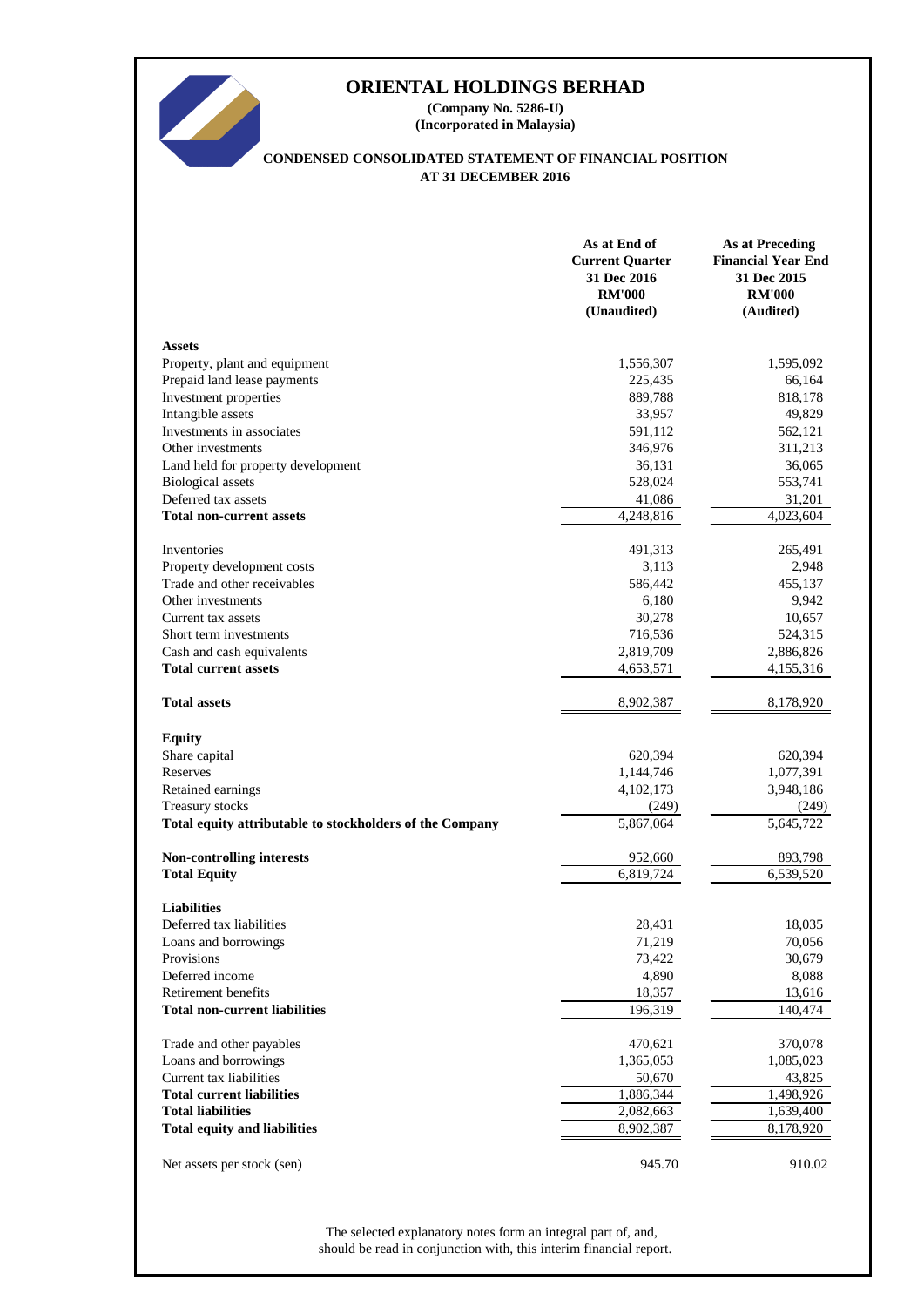

**(Company No. 5286-U) (Incorporated in Malaysia)**

# **CONDENSED CONSOLIDATED STATEMENT OF FINANCIAL POSITION AT 31 DECEMBER 2016**

|                                                          | As at End of<br><b>Current Quarter</b><br>31 Dec 2016<br><b>RM'000</b><br>(Unaudited) | <b>As at Preceding</b><br><b>Financial Year End</b><br>31 Dec 2015<br><b>RM'000</b><br>(Audited) |
|----------------------------------------------------------|---------------------------------------------------------------------------------------|--------------------------------------------------------------------------------------------------|
| <b>Assets</b>                                            |                                                                                       |                                                                                                  |
| Property, plant and equipment                            | 1,556,307                                                                             | 1,595,092                                                                                        |
| Prepaid land lease payments                              | 225,435                                                                               | 66,164                                                                                           |
| Investment properties                                    | 889,788                                                                               | 818,178                                                                                          |
| Intangible assets                                        | 33,957                                                                                | 49,829                                                                                           |
| Investments in associates                                | 591,112                                                                               | 562,121                                                                                          |
| Other investments                                        | 346,976                                                                               | 311,213                                                                                          |
| Land held for property development                       | 36,131                                                                                | 36,065                                                                                           |
| <b>Biological</b> assets                                 | 528,024                                                                               | 553,741                                                                                          |
| Deferred tax assets                                      | 41,086                                                                                | 31,201                                                                                           |
| <b>Total non-current assets</b>                          | 4,248,816                                                                             | 4,023,604                                                                                        |
| Inventories                                              | 491,313                                                                               | 265,491                                                                                          |
| Property development costs                               | 3,113                                                                                 | 2,948                                                                                            |
| Trade and other receivables                              | 586,442                                                                               | 455,137                                                                                          |
| Other investments                                        | 6,180                                                                                 | 9,942                                                                                            |
| Current tax assets                                       | 30,278                                                                                | 10,657                                                                                           |
| Short term investments                                   | 716,536                                                                               | 524,315                                                                                          |
| Cash and cash equivalents                                | 2,819,709                                                                             | 2,886,826                                                                                        |
| <b>Total current assets</b>                              | 4,653,571                                                                             | 4,155,316                                                                                        |
| <b>Total assets</b>                                      | 8,902,387                                                                             | 8,178,920                                                                                        |
| <b>Equity</b>                                            |                                                                                       |                                                                                                  |
| Share capital                                            | 620,394                                                                               | 620,394                                                                                          |
| Reserves                                                 | 1,144,746                                                                             | 1,077,391                                                                                        |
| Retained earnings                                        | 4,102,173                                                                             | 3,948,186                                                                                        |
| Treasury stocks                                          | (249)                                                                                 | (249)                                                                                            |
| Total equity attributable to stockholders of the Company | 5,867,064                                                                             | 5,645,722                                                                                        |
| Non-controlling interests                                | 952,660                                                                               | 893,798                                                                                          |
| <b>Total Equity</b>                                      | 6,819,724                                                                             | 6,539,520                                                                                        |
| <b>Liabilities</b>                                       |                                                                                       |                                                                                                  |
| Deferred tax liabilities                                 | 28,431                                                                                | 18,035                                                                                           |
| Loans and borrowings                                     | 71,219                                                                                | 70,056                                                                                           |
| Provisions                                               | 73,422                                                                                | 30,679                                                                                           |
| Deferred income                                          | 4,890                                                                                 | 8,088                                                                                            |
| Retirement benefits                                      | 18,357                                                                                | 13,616                                                                                           |
| <b>Total non-current liabilities</b>                     | 196,319                                                                               | 140,474                                                                                          |
| Trade and other payables                                 | 470,621                                                                               | 370,078                                                                                          |
| Loans and borrowings                                     | 1,365,053                                                                             | 1,085,023                                                                                        |
| Current tax liabilities                                  | 50,670                                                                                | 43,825                                                                                           |
| <b>Total current liabilities</b>                         | 1,886,344                                                                             | 1,498,926                                                                                        |
| <b>Total liabilities</b>                                 | 2,082,663                                                                             | 1,639,400                                                                                        |
| <b>Total equity and liabilities</b>                      | 8,902,387                                                                             | 8,178,920                                                                                        |
| Net assets per stock (sen)                               | 945.70                                                                                | 910.02                                                                                           |

should be read in conjunction with, this interim financial report. The selected explanatory notes form an integral part of, and,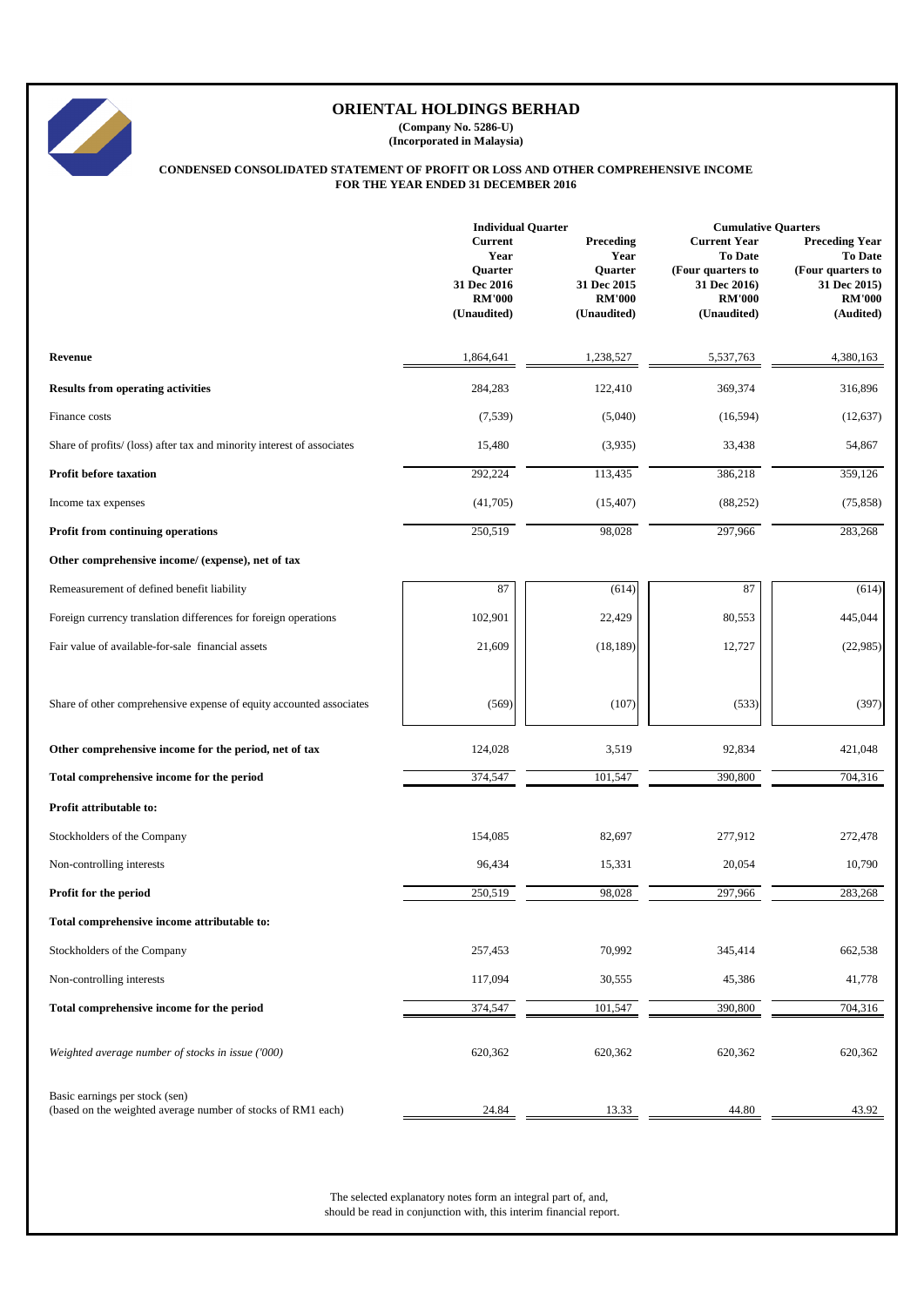|                                                                        | <b>Individual Quarter</b>                                                        |                                                                             | <b>Cumulative Quarters</b>                                                                                 |                                                                                                     |  |  |
|------------------------------------------------------------------------|----------------------------------------------------------------------------------|-----------------------------------------------------------------------------|------------------------------------------------------------------------------------------------------------|-----------------------------------------------------------------------------------------------------|--|--|
|                                                                        | <b>Current</b><br>Year<br>Quarter<br>31 Dec 2016<br><b>RM'000</b><br>(Unaudited) | Preceding<br>Year<br>Quarter<br>31 Dec 2015<br><b>RM'000</b><br>(Unaudited) | <b>Current Year</b><br><b>To Date</b><br>(Four quarters to<br>31 Dec 2016)<br><b>RM'000</b><br>(Unaudited) | <b>Preceding Year</b><br>To Date<br>(Four quarters to<br>31 Dec 2015)<br><b>RM'000</b><br>(Audited) |  |  |
| Revenue                                                                | 1,864,641                                                                        | 1,238,527                                                                   | 5,537,763                                                                                                  | 4,380,163                                                                                           |  |  |
| <b>Results from operating activities</b>                               | 284,283                                                                          | 122,410                                                                     | 369,374                                                                                                    | 316,896                                                                                             |  |  |
| Finance costs                                                          | (7,539)                                                                          | (5,040)                                                                     | (16,594)                                                                                                   | (12, 637)                                                                                           |  |  |
| Share of profits/ (loss) after tax and minority interest of associates | 15,480                                                                           | (3,935)                                                                     | 33,438                                                                                                     | 54,867                                                                                              |  |  |
| <b>Profit before taxation</b>                                          | 292,224                                                                          | 113,435                                                                     | 386,218                                                                                                    | 359,126                                                                                             |  |  |
| Income tax expenses                                                    | (41,705)                                                                         | (15, 407)                                                                   | (88, 252)                                                                                                  | (75, 858)                                                                                           |  |  |
| Profit from continuing operations                                      | 250,519                                                                          | 98,028                                                                      | 297,966                                                                                                    | 283,268                                                                                             |  |  |
| Other comprehensive income/ (expense), net of tax                      |                                                                                  |                                                                             |                                                                                                            |                                                                                                     |  |  |
| Remeasurement of defined benefit liability                             | 87                                                                               | (614)                                                                       | 87                                                                                                         | (614)                                                                                               |  |  |
| Foreign currency translation differences for foreign operations        | 102,901                                                                          | 22,429                                                                      | 80,553                                                                                                     | 445,044                                                                                             |  |  |
| Fair value of available-for-sale financial assets                      | 21,609                                                                           | (18, 189)                                                                   | 12,727                                                                                                     | (22,985)                                                                                            |  |  |
| Share of other comprehensive expense of equity accounted associates    | (569)                                                                            | (107)                                                                       | (533)                                                                                                      | (397)                                                                                               |  |  |
| Other comprehensive income for the period, net of tax                  | 124,028                                                                          | 3,519                                                                       | 92,834                                                                                                     | 421,048                                                                                             |  |  |
| Total comprehensive income for the period                              | 374,547                                                                          | 101,547                                                                     | 390,800                                                                                                    | 704,316                                                                                             |  |  |
| Profit attributable to:                                                |                                                                                  |                                                                             |                                                                                                            |                                                                                                     |  |  |
| Stockholders of the Company                                            | 154,085                                                                          | 82,697                                                                      | 277,912                                                                                                    | 272,478                                                                                             |  |  |
| Non-controlling interests                                              | 96,434                                                                           | 15,331                                                                      | 20,054                                                                                                     | 10,790                                                                                              |  |  |
| Profit for the period                                                  | 250,519                                                                          | 98,028                                                                      | 297,966                                                                                                    | 283,268                                                                                             |  |  |
| Total comprehensive income attributable to:                            |                                                                                  |                                                                             |                                                                                                            |                                                                                                     |  |  |
| Stockholders of the Company                                            | 257,453                                                                          | 70,992                                                                      | 345,414                                                                                                    | 662,538                                                                                             |  |  |
| Non-controlling interests                                              | 117,094                                                                          | 30,555                                                                      | 45,386                                                                                                     | 41,778                                                                                              |  |  |
| Total comprehensive income for the period                              | 374,547                                                                          | 101,547                                                                     | 390,800                                                                                                    | 704,316                                                                                             |  |  |





# **ORIENTAL HOLDINGS BERHAD**

**(Company No. 5286-U) (Incorporated in Malaysia)**

# **CONDENSED CONSOLIDATED STATEMENT OF PROFIT OR LOSS AND OTHER COMPREHENSIVE INCOME FOR THE YEAR ENDED 31 DECEMBER 2016**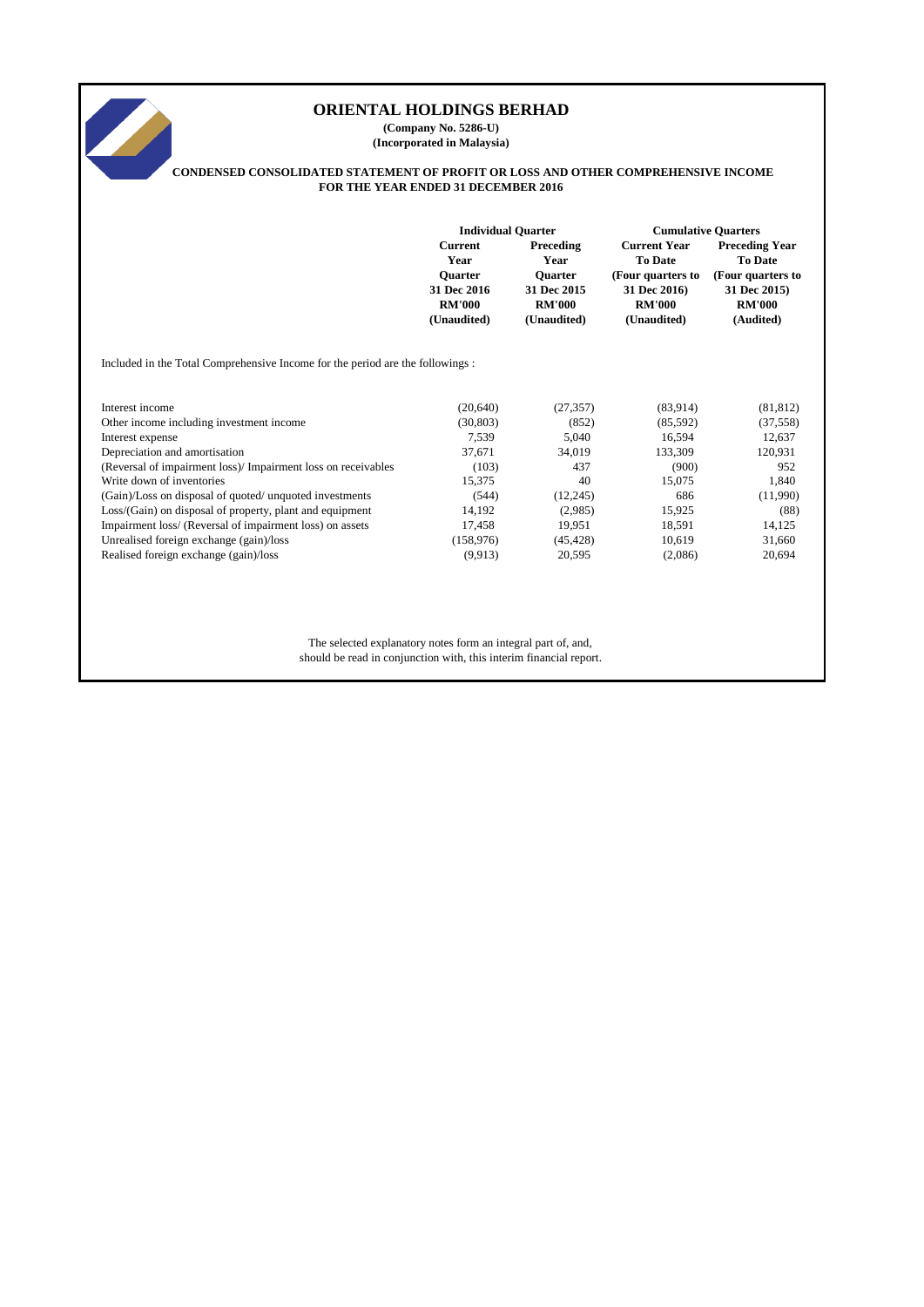# **Current Preceding Current Year Preceding Year<br>
<b>Preceding Year Preceding Year Preceding Year Property** To Date **Year Year To Date To Date Quarter Quarter (Four quarters to (Four quarters to 31 Dec 2016 31 Dec 2015 31 Dec 2016) 31 Dec 2015) RM'000 RM'000 RM'000 RM'000 (Unaudited) (Unaudited) (Unaudited) (Audited)** Included in the Total Comprehensive Income for the period are the followings : Interest income (20,640) (27,357) (83,914) (81,812) Other income including investment income (30,803) (852) (85,592) (37,558) Interest expense 12,637 5,040 16,594 12,637 Depreciation and amortisation 37,671 34,019 133,309 120,931 (Reversal of impairment loss)/ Impairment loss on receivables (103) 437 (900) 952 Write down of inventories 15,375 40 15,075 1,840 (Gain)/Loss on disposal of quoted/ unquoted investments (544) (12,245) 686 (11,990) Loss/(Gain) on disposal of property, plant and equipment 14,192 (2,985) 15,925 (88) Impairment loss/ (Reversal of impairment loss) on assets 17,458 19,951 18,591 14,125 Unrealised foreign exchange (gain)/loss (158,976) (45,428) 10,619 31,660 Realised foreign exchange (gain)/loss (9,913) 20,595 (2,086) 20,694 The selected explanatory notes form an integral part of, and, should be read in conjunction with, this interim financial report. **ORIENTAL HOLDINGS BERHAD (Company No. 5286-U) (Incorporated in Malaysia) CONDENSED CONSOLIDATED STATEMENT OF PROFIT OR LOSS AND OTHER COMPREHENSIVE INCOME FOR THE YEAR ENDED 31 DECEMBER 2016 Individual Quarter Cumulative Quarters**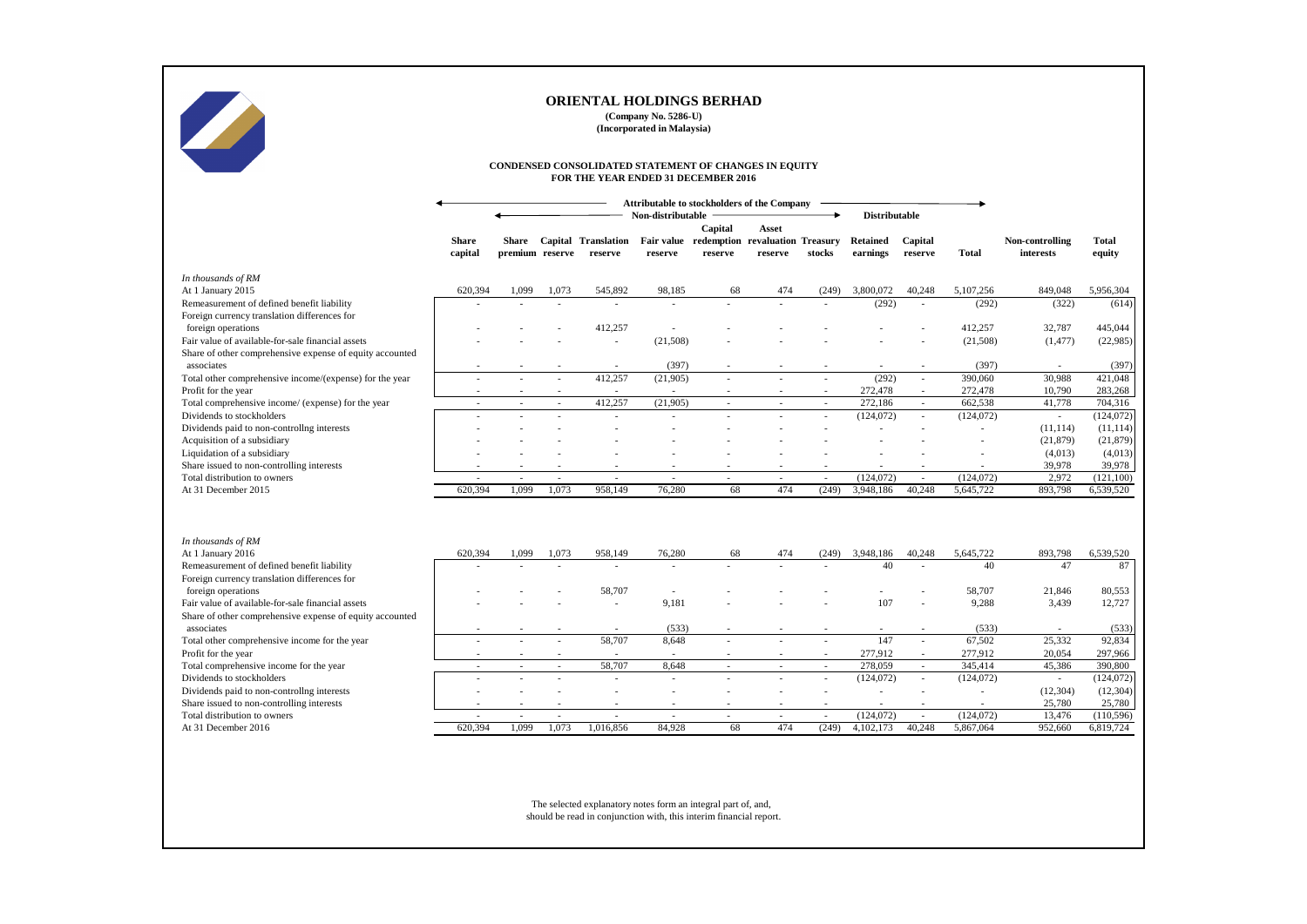|                                                                                                               |                         |                                 |        |                                       | <b>ORIENTAL HOLDINGS BERHAD</b><br>(Company No. 5286-U)<br>(Incorporated in Malaysia)        |                                                       |              |                  |                             |                    |                          |                              |                        |
|---------------------------------------------------------------------------------------------------------------|-------------------------|---------------------------------|--------|---------------------------------------|----------------------------------------------------------------------------------------------|-------------------------------------------------------|--------------|------------------|-----------------------------|--------------------|--------------------------|------------------------------|------------------------|
|                                                                                                               |                         |                                 |        |                                       | CONDENSED CONSOLIDATED STATEMENT OF CHANGES IN EQUITY<br>FOR THE YEAR ENDED 31 DECEMBER 2016 |                                                       |              |                  |                             |                    |                          |                              |                        |
|                                                                                                               |                         |                                 |        |                                       | <b>Attributable to stockholders of the Company</b>                                           |                                                       |              |                  |                             |                    |                          |                              |                        |
|                                                                                                               |                         |                                 |        |                                       | Non-distributable                                                                            | Capital                                               | <b>Asset</b> |                  | <b>Distributable</b>        |                    |                          |                              |                        |
|                                                                                                               | <b>Share</b><br>capital | <b>Share</b><br>premium reserve |        | <b>Capital Translation</b><br>reserve | reserve                                                                                      | Fair value redemption revaluation Treasury<br>reserve | reserve      | stocks           | <b>Retained</b><br>earnings | Capital<br>reserve | <b>Total</b>             | Non-controlling<br>interests | <b>Total</b><br>equity |
| In thousands of RM                                                                                            |                         |                                 |        |                                       |                                                                                              |                                                       |              |                  |                             |                    |                          |                              |                        |
| At 1 January 2015                                                                                             | 620,394                 | 1,099                           | 1,073  | 545,892                               | 98,185                                                                                       | 68                                                    | 474          | (249)            | 3,800,072                   | 40,248             | 5,107,256                | 849,048                      | 5,956,304              |
| Remeasurement of defined benefit liability                                                                    |                         |                                 |        |                                       | $\overline{\phantom{a}}$                                                                     |                                                       |              |                  | (292)                       |                    | (292)                    | (322)                        | (614)                  |
| Foreign currency translation differences for                                                                  |                         |                                 |        |                                       |                                                                                              |                                                       |              |                  |                             |                    |                          |                              |                        |
| foreign operations                                                                                            |                         |                                 |        | 412,257                               |                                                                                              |                                                       |              |                  |                             |                    | 412,257                  | 32,787                       | 445,044                |
| Fair value of available-for-sale financial assets                                                             |                         |                                 |        | $\sim$                                | (21,508)                                                                                     |                                                       |              |                  |                             |                    | (21,508)                 | (1, 477)                     | (22,985)               |
| Share of other comprehensive expense of equity accounted                                                      |                         |                                 |        |                                       |                                                                                              |                                                       |              |                  |                             |                    |                          |                              |                        |
| associates                                                                                                    |                         |                                 |        |                                       | (397)                                                                                        |                                                       |              |                  |                             |                    | (397)                    |                              | (397)                  |
| Total other comprehensive income/(expense) for the year                                                       |                         |                                 |        | 412,257                               | (21,905)                                                                                     |                                                       |              |                  | (292)                       |                    | 390,060                  | 30,988                       | 421,048                |
| Profit for the year<br>Total comprehensive income/ (expense) for the year                                     |                         |                                 |        | 412,257                               | (21,905)                                                                                     |                                                       |              |                  | 272,478<br>272,186          |                    | 272,478<br>662,538       | 10,790                       | 283,268<br>704,316     |
| Dividends to stockholders                                                                                     |                         | $\overline{\phantom{a}}$        |        |                                       |                                                                                              |                                                       |              | $\sim$<br>$\sim$ | (124,072)                   |                    | (124,072)                | 41,778<br>$\sim$             | (124, 072)             |
| Dividends paid to non-controllng interests                                                                    |                         |                                 |        |                                       |                                                                                              |                                                       |              |                  |                             |                    | $\overline{\phantom{a}}$ | (11, 114)                    | (11, 114)              |
| Acquisition of a subsidiary                                                                                   |                         |                                 |        |                                       |                                                                                              |                                                       |              |                  |                             |                    |                          | (21, 879)                    | (21,879)               |
| Liquidation of a subsidiary                                                                                   |                         |                                 |        |                                       |                                                                                              |                                                       |              |                  |                             |                    |                          | (4,013)                      | (4,013)                |
| Share issued to non-controlling interests                                                                     |                         |                                 |        |                                       |                                                                                              |                                                       |              |                  |                             |                    |                          | 39,978                       | 39,978                 |
| Total distribution to owners                                                                                  |                         |                                 | $\sim$ | $\sim$                                | $\overline{\phantom{a}}$                                                                     | $\sim$                                                |              | $\sim$           | (124, 072)                  | $\sim$             | (124, 072)               | 2,972                        | (121, 100)             |
| At 31 December 2015                                                                                           | 620,394                 | 1,099                           | 1,073  | 958,149                               | 76,280                                                                                       | 68                                                    | 474          | (249)            | 3,948,186                   | 40,248             | 5,645,722                | 893,798                      | 6,539,520              |
|                                                                                                               |                         |                                 |        |                                       |                                                                                              |                                                       |              |                  |                             |                    |                          |                              |                        |
| In thousands of RM                                                                                            |                         |                                 |        |                                       |                                                                                              |                                                       |              |                  |                             |                    |                          |                              |                        |
| At 1 January 2016                                                                                             | 620,394                 | 1,099                           | 1,073  | 958,149                               | 76,280                                                                                       | 68                                                    | 474          | (249)            | 3,948,186                   | 40,248             | 5,645,722                | 893,798                      | 6,539,520              |
| Remeasurement of defined benefit liability                                                                    |                         |                                 |        | $\sim$                                | $\overline{\phantom{a}}$                                                                     |                                                       | $\sim$       | $\sim$           | 40                          |                    | 40                       | 47                           | 87                     |
| Foreign currency translation differences for                                                                  |                         |                                 |        |                                       |                                                                                              |                                                       |              |                  |                             |                    |                          |                              |                        |
| foreign operations                                                                                            |                         |                                 |        | 58,707                                | $\overline{\phantom{a}}$                                                                     |                                                       |              |                  | 107                         |                    | 58,707                   | 21,846                       | 80,553                 |
| Fair value of available-for-sale financial assets<br>Share of other comprehensive expense of equity accounted |                         |                                 |        | $\sim$                                | 9,181                                                                                        |                                                       |              |                  |                             |                    | 9,288                    | 3,439                        | 12,727                 |
| associates                                                                                                    |                         |                                 |        |                                       | (533)                                                                                        |                                                       |              |                  |                             |                    | (533)                    |                              | (533)                  |
| Total other comprehensive income for the year                                                                 |                         |                                 |        | 58,707                                | 8,648                                                                                        |                                                       |              |                  | 147                         | $\sim$             | 67,502                   | 25,332                       | 92,834                 |
| Profit for the year                                                                                           |                         |                                 |        |                                       | $\sim$                                                                                       |                                                       |              |                  | 277,912                     |                    | 277,912                  | 20,054                       | 297,966                |
| Total comprehensive income for the year                                                                       | $\sim$                  | $\sim$                          | $\sim$ | 58,707                                | 8,648                                                                                        | $\sim$                                                | $\sim$       | $\sim$           | 278,059                     | $\sim$             | 345,414                  | 45,386                       | 390,800                |
| Dividends to stockholders                                                                                     |                         |                                 |        |                                       | $\overline{a}$                                                                               |                                                       |              | $\sim$           | (124, 072)                  | $\sim$             | (124,072)                | $\overline{\phantom{a}}$     | (124, 072)             |
| Dividends paid to non-controllng interests                                                                    |                         |                                 |        |                                       |                                                                                              |                                                       |              |                  |                             |                    |                          | (12, 304)                    | (12, 304)              |
| Share issued to non-controlling interests                                                                     |                         |                                 |        |                                       | $\overline{\phantom{a}}$                                                                     |                                                       |              |                  |                             |                    |                          | 25,780                       | 25,780                 |
| Total distribution to owners                                                                                  |                         |                                 |        |                                       | $\overline{\phantom{a}}$                                                                     |                                                       |              | $\sim$           | (124, 072)                  | $\sim$             | (124, 072)               | 13,476                       | (110,596)              |
|                                                                                                               | 620,394                 | 1,099                           | 1,073  | 1,016,856                             | 84,928                                                                                       | 68                                                    | 474          | (249)            | 4,102,173                   | 40,248             | 5,867,064                | 952,660                      | 6,819,724              |

The selected explanatory notes form an integral part of, and, should be read in conjunction with, this interim financial report.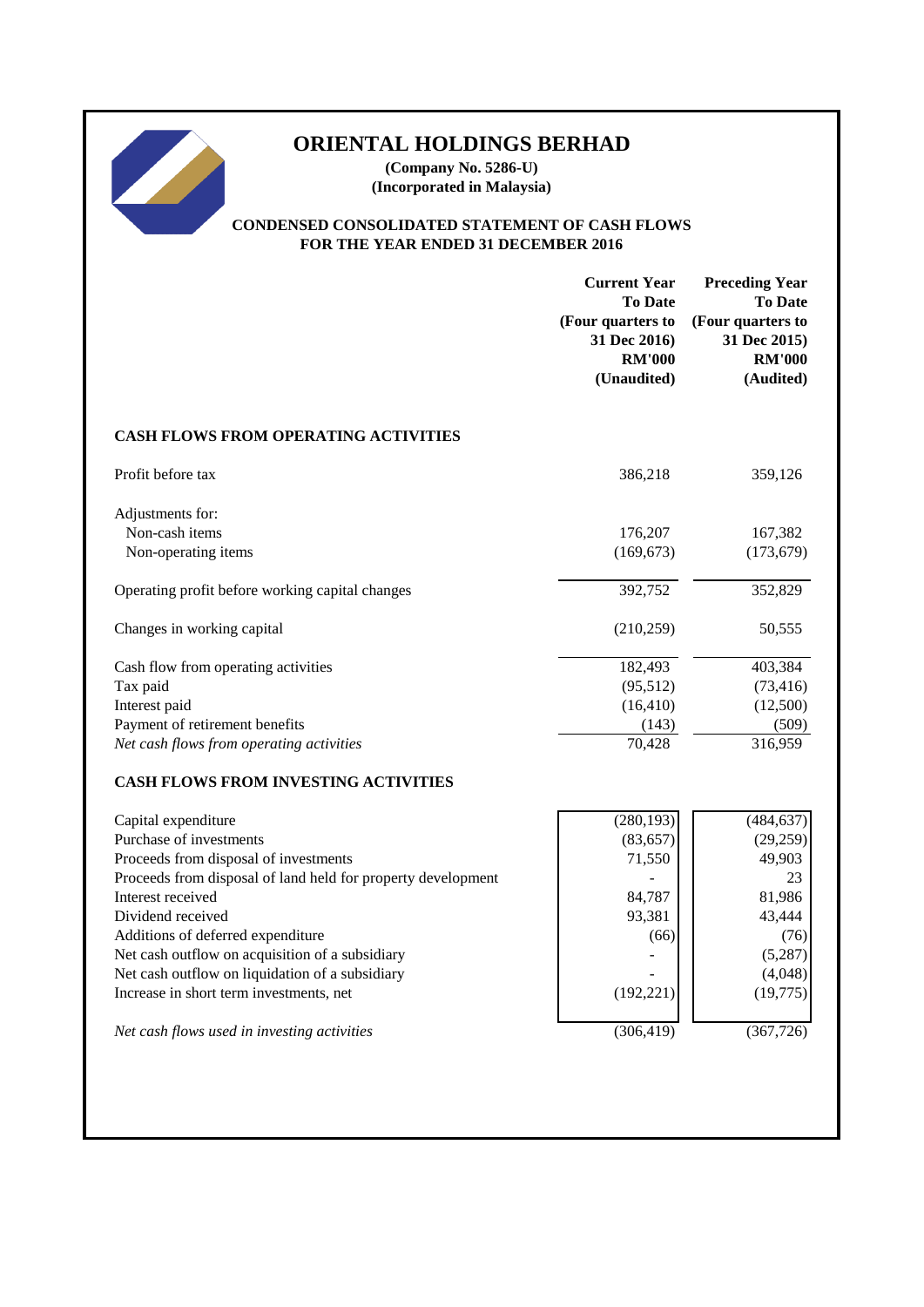# **ORIENTAL HOLDINGS BERHAD**

**(Company No. 5286-U) (Incorporated in Malaysia)**

# **CONDENSED CONSOLIDATED STATEMENT OF CASH FLOWS FOR THE YEAR ENDED 31 DECEMBER 2016**

|                                                                                                                                                                                                                                                                                                                                                                                         | <b>Current Year</b><br><b>To Date</b><br>(Four quarters to<br>31 Dec 2016)<br><b>RM'000</b><br>(Unaudited) | <b>Preceding Year</b><br><b>To Date</b><br>(Four quarters to<br>31 Dec 2015)<br><b>RM'000</b><br>(Audited) |
|-----------------------------------------------------------------------------------------------------------------------------------------------------------------------------------------------------------------------------------------------------------------------------------------------------------------------------------------------------------------------------------------|------------------------------------------------------------------------------------------------------------|------------------------------------------------------------------------------------------------------------|
| <b>CASH FLOWS FROM OPERATING ACTIVITIES</b>                                                                                                                                                                                                                                                                                                                                             |                                                                                                            |                                                                                                            |
| Profit before tax                                                                                                                                                                                                                                                                                                                                                                       | 386,218                                                                                                    | 359,126                                                                                                    |
| Adjustments for:<br>Non-cash items<br>Non-operating items                                                                                                                                                                                                                                                                                                                               | 176,207<br>(169, 673)                                                                                      | 167,382<br>(173, 679)                                                                                      |
| Operating profit before working capital changes                                                                                                                                                                                                                                                                                                                                         | 392,752                                                                                                    | 352,829                                                                                                    |
| Changes in working capital                                                                                                                                                                                                                                                                                                                                                              | (210, 259)                                                                                                 | 50,555                                                                                                     |
| Cash flow from operating activities<br>Tax paid<br>Interest paid<br>Payment of retirement benefits<br>Net cash flows from operating activities                                                                                                                                                                                                                                          | 182,493<br>(95, 512)<br>(16, 410)<br>(143)<br>70,428                                                       | 403,384<br>(73, 416)<br>(12,500)<br>(509)<br>316,959                                                       |
| <b>CASH FLOWS FROM INVESTING ACTIVITIES</b>                                                                                                                                                                                                                                                                                                                                             |                                                                                                            |                                                                                                            |
| Capital expenditure<br>Purchase of investments<br>Proceeds from disposal of investments<br>Proceeds from disposal of land held for property development<br>Interest received<br>Dividend received<br>Additions of deferred expenditure<br>Net cash outflow on acquisition of a subsidiary<br>Net cash outflow on liquidation of a subsidiary<br>Increase in short term investments, net | (280, 193)<br>(83, 657)<br>71,550<br>84,787<br>93,381<br>(66)<br>(192, 221)                                | (484, 637)<br>(29,259)<br>49,903<br>23<br>81,986<br>43,444<br>(76)<br>(5,287)<br>(4,048)<br>(19,775)       |
| Net cash flows used in investing activities                                                                                                                                                                                                                                                                                                                                             | (306, 419)                                                                                                 | (367, 726)                                                                                                 |
|                                                                                                                                                                                                                                                                                                                                                                                         |                                                                                                            |                                                                                                            |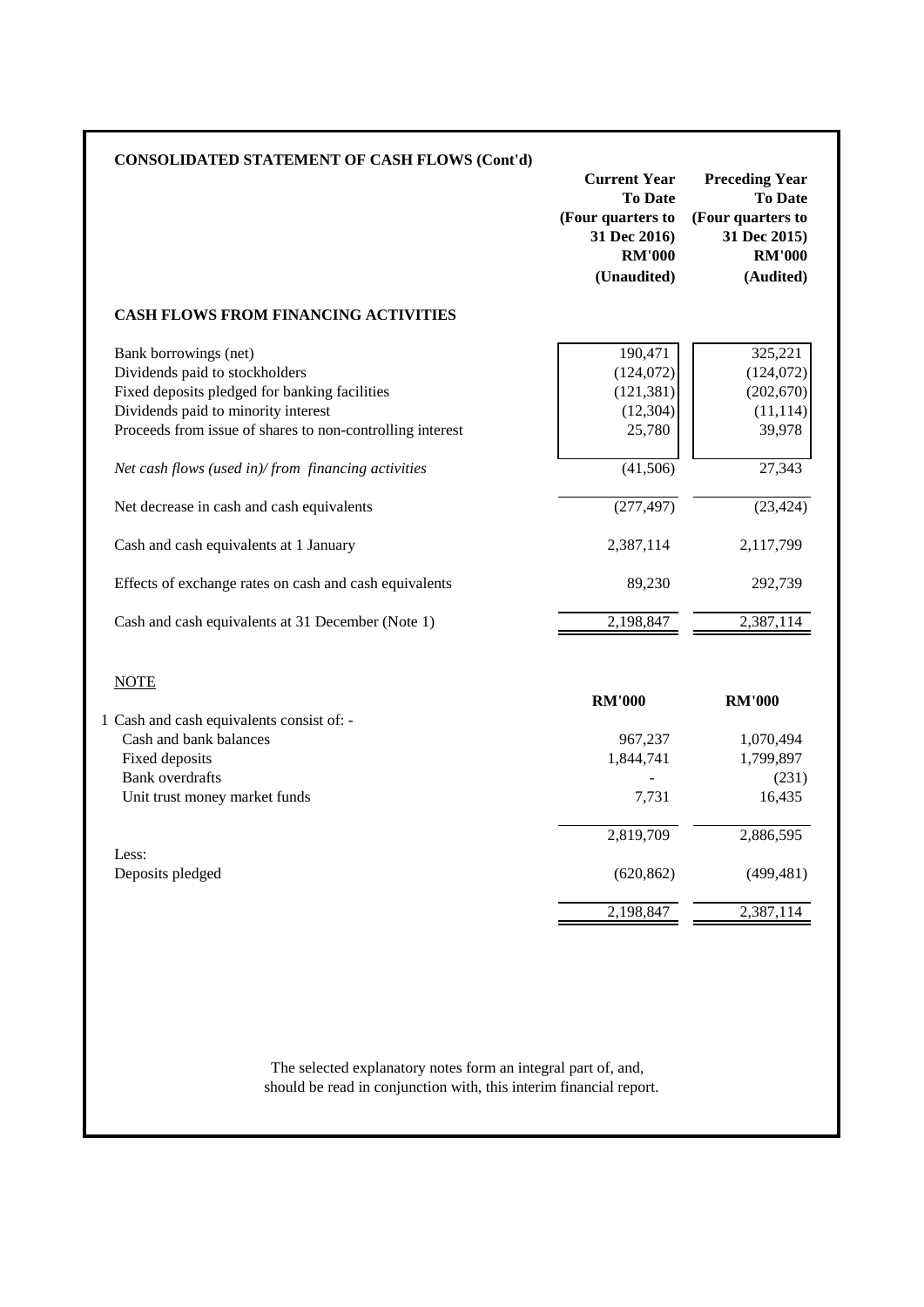|                                                           | <b>Current Year</b><br><b>To Date</b><br>(Four quarters to<br>31 Dec 2016)<br><b>RM'000</b><br>(Unaudited) | <b>Preceding Year</b><br><b>To Date</b><br>(Four quarters to<br>31 Dec 2015)<br><b>RM'000</b><br>(Audited) |
|-----------------------------------------------------------|------------------------------------------------------------------------------------------------------------|------------------------------------------------------------------------------------------------------------|
| <b>CASH FLOWS FROM FINANCING ACTIVITIES</b>               |                                                                                                            |                                                                                                            |
| Bank borrowings (net)                                     | 190,471                                                                                                    | 325,221                                                                                                    |
| Dividends paid to stockholders                            | (124, 072)                                                                                                 | (124, 072)                                                                                                 |
| Fixed deposits pledged for banking facilities             | (121, 381)                                                                                                 | (202, 670)                                                                                                 |
| Dividends paid to minority interest                       | (12, 304)                                                                                                  | (11, 114)                                                                                                  |
| Proceeds from issue of shares to non-controlling interest | 25,780                                                                                                     | 39,978                                                                                                     |
| Net cash flows (used in)/from financing activities        | (41, 506)                                                                                                  | 27,343                                                                                                     |
| Net decrease in cash and cash equivalents                 | (277, 497)                                                                                                 | (23, 424)                                                                                                  |
| Cash and cash equivalents at 1 January                    | 2,387,114                                                                                                  | 2,117,799                                                                                                  |
| Effects of exchange rates on cash and cash equivalents    | 89,230                                                                                                     | 292,739                                                                                                    |
| Cash and cash equivalents at 31 December (Note 1)         | 2,198,847                                                                                                  | 2,387,114                                                                                                  |
| <b>NOTE</b>                                               |                                                                                                            |                                                                                                            |
|                                                           | <b>RM'000</b>                                                                                              | <b>RM'000</b>                                                                                              |
| 1 Cash and cash equivalents consist of: -                 |                                                                                                            |                                                                                                            |
| Cash and bank balances                                    | 967,237                                                                                                    | 1,070,494                                                                                                  |
| Fixed deposits                                            | 1,844,741                                                                                                  | 1,799,897                                                                                                  |
| <b>Bank</b> overdrafts                                    |                                                                                                            | (231)                                                                                                      |
| Unit trust money market funds                             | 7,731                                                                                                      | 16,435                                                                                                     |
|                                                           | 2,819,709                                                                                                  | 2,886,595                                                                                                  |
| Less:                                                     |                                                                                                            |                                                                                                            |
| Deposits pledged                                          | (620, 862)                                                                                                 | (499, 481)                                                                                                 |
|                                                           | 2,198,847                                                                                                  | 2,387,114                                                                                                  |

should be read in conjunction with, this interim financial report.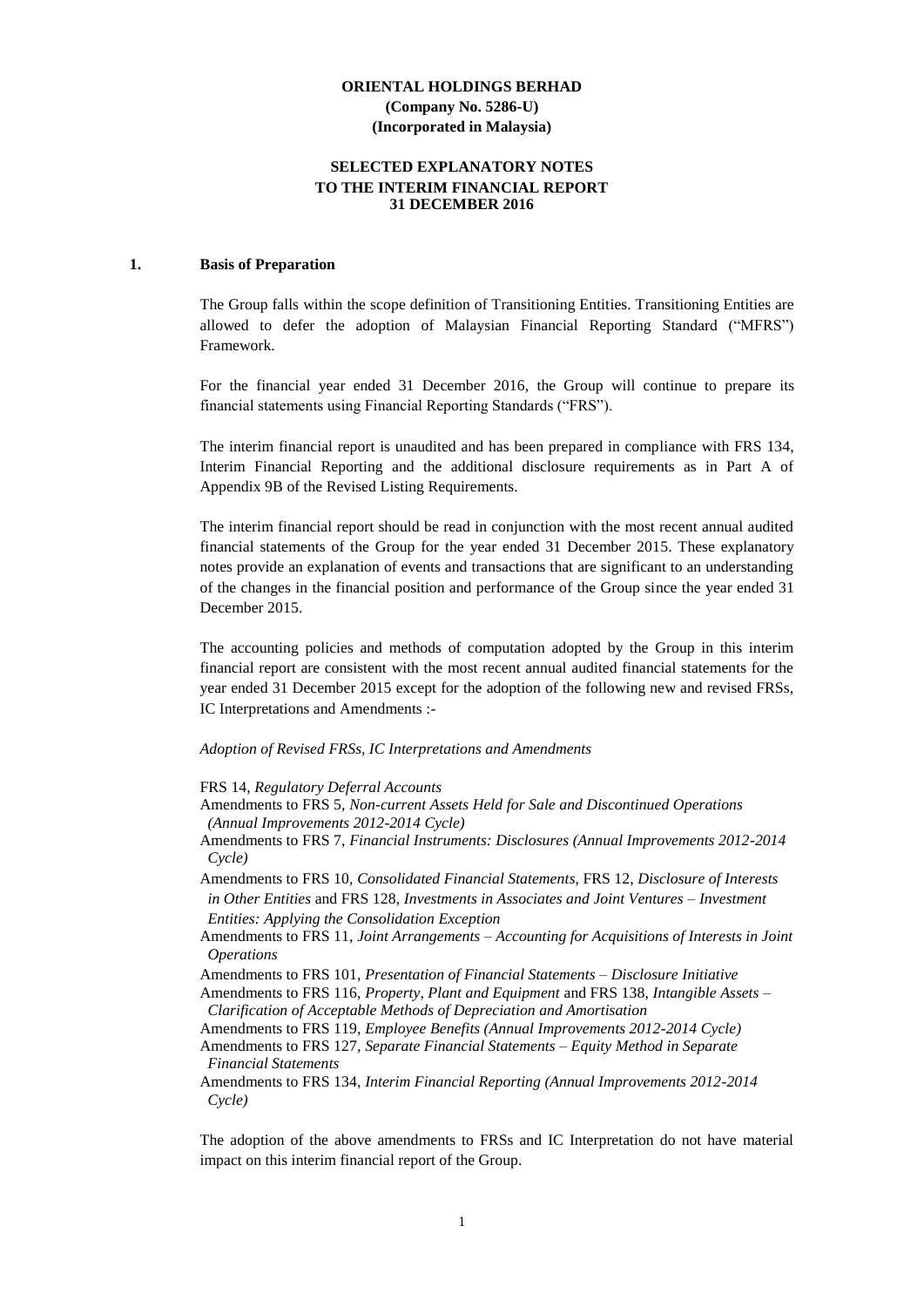# **SELECTED EXPLANATORY NOTES TO THE INTERIM FINANCIAL REPORT 31 DECEMBER 2016**

#### **1. Basis of Preparation**

The Group falls within the scope definition of Transitioning Entities. Transitioning Entities are allowed to defer the adoption of Malaysian Financial Reporting Standard ("MFRS") Framework.

For the financial year ended 31 December 2016, the Group will continue to prepare its financial statements using Financial Reporting Standards ("FRS").

The interim financial report is unaudited and has been prepared in compliance with FRS 134, Interim Financial Reporting and the additional disclosure requirements as in Part A of Appendix 9B of the Revised Listing Requirements.

The interim financial report should be read in conjunction with the most recent annual audited financial statements of the Group for the year ended 31 December 2015. These explanatory notes provide an explanation of events and transactions that are significant to an understanding of the changes in the financial position and performance of the Group since the year ended 31 December 2015.

The accounting policies and methods of computation adopted by the Group in this interim financial report are consistent with the most recent annual audited financial statements for the year ended 31 December 2015 except for the adoption of the following new and revised FRSs, IC Interpretations and Amendments :-

#### *Adoption of Revised FRSs, IC Interpretations and Amendments*

FRS 14, *Regulatory Deferral Accounts*

- Amendments to FRS 5, *Non-current Assets Held for Sale and Discontinued Operations (Annual Improvements 2012-2014 Cycle)*
- Amendments to FRS 7, *Financial Instruments: Disclosures (Annual Improvements 2012-2014 Cycle)*

Amendments to FRS 10, *Consolidated Financial Statements*, FRS 12, *Disclosure of Interests in Other Entities* and FRS 128, *Investments in Associates and Joint Ventures – Investment Entities: Applying the Consolidation Exception*

Amendments to FRS 11, *Joint Arrangements – Accounting for Acquisitions of Interests in Joint Operations*

Amendments to FRS 101, *Presentation of Financial Statements – Disclosure Initiative*

Amendments to FRS 116, *Property, Plant and Equipment* and FRS 138, *Intangible Assets – Clarification of Acceptable Methods of Depreciation and Amortisation*

Amendments to FRS 119, *Employee Benefits (Annual Improvements 2012-2014 Cycle)*

Amendments to FRS 127, *Separate Financial Statements – Equity Method in Separate Financial Statements*

Amendments to FRS 134, *Interim Financial Reporting (Annual Improvements 2012-2014 Cycle)*

The adoption of the above amendments to FRSs and IC Interpretation do not have material impact on this interim financial report of the Group.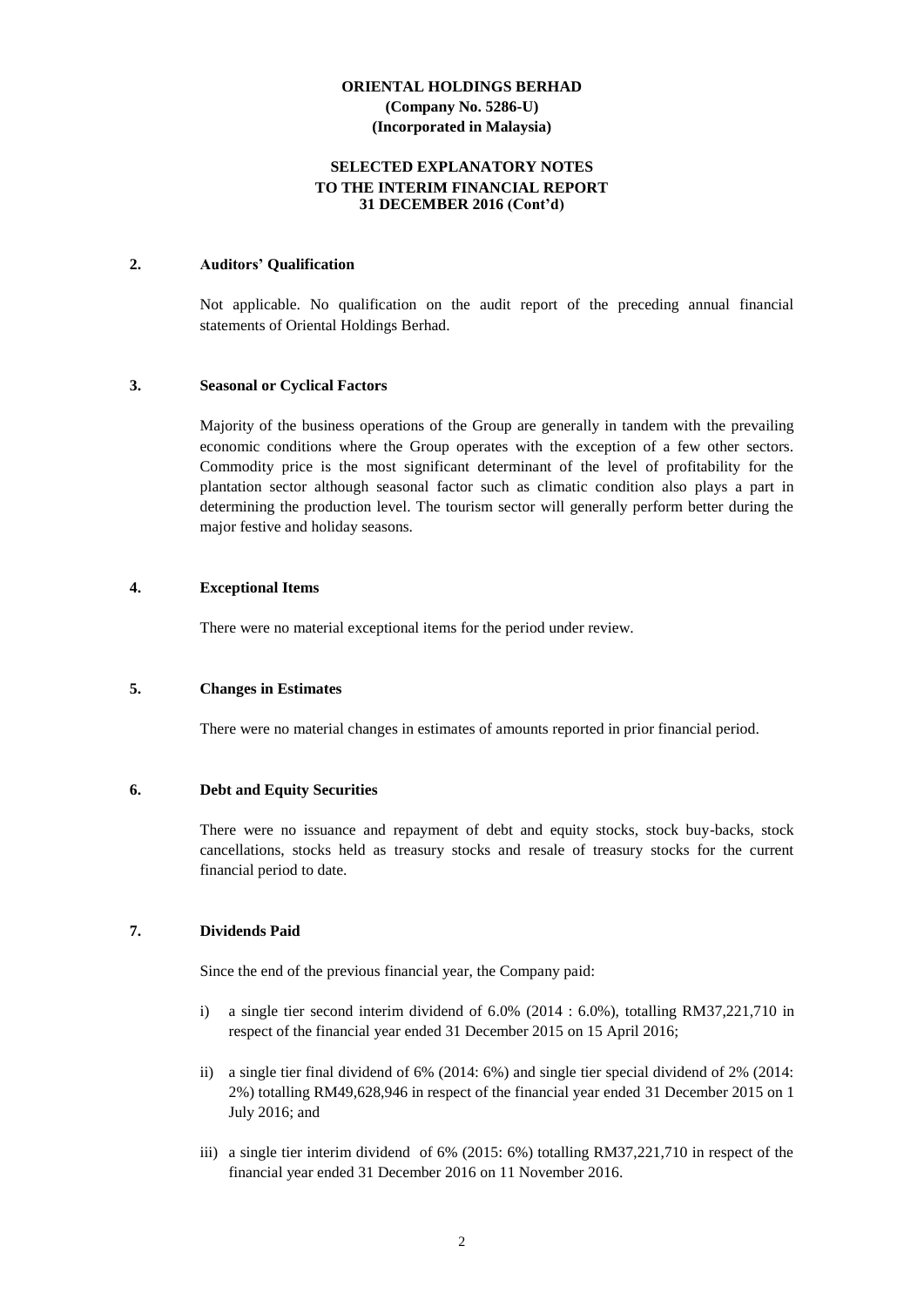### **SELECTED EXPLANATORY NOTES TO THE INTERIM FINANCIAL REPORT 31 DECEMBER 2016 (Cont'd)**

#### **2. Auditors' Qualification**

Not applicable. No qualification on the audit report of the preceding annual financial statements of Oriental Holdings Berhad.

#### **3. Seasonal or Cyclical Factors**

Majority of the business operations of the Group are generally in tandem with the prevailing economic conditions where the Group operates with the exception of a few other sectors. Commodity price is the most significant determinant of the level of profitability for the plantation sector although seasonal factor such as climatic condition also plays a part in determining the production level. The tourism sector will generally perform better during the major festive and holiday seasons.

#### **4. Exceptional Items**

There were no material exceptional items for the period under review.

#### **5. Changes in Estimates**

There were no material changes in estimates of amounts reported in prior financial period.

#### **6. Debt and Equity Securities**

There were no issuance and repayment of debt and equity stocks, stock buy-backs, stock cancellations, stocks held as treasury stocks and resale of treasury stocks for the current financial period to date.

# **7. Dividends Paid**

Since the end of the previous financial year, the Company paid:

- i) a single tier second interim dividend of 6.0% (2014 : 6.0%), totalling RM37,221,710 in respect of the financial year ended 31 December 2015 on 15 April 2016;
- ii) a single tier final dividend of 6% (2014: 6%) and single tier special dividend of 2% (2014: 2%) totalling RM49,628,946 in respect of the financial year ended 31 December 2015 on 1 July 2016; and
- iii) a single tier interim dividend of 6% (2015: 6%) totalling RM37,221,710 in respect of the financial year ended 31 December 2016 on 11 November 2016.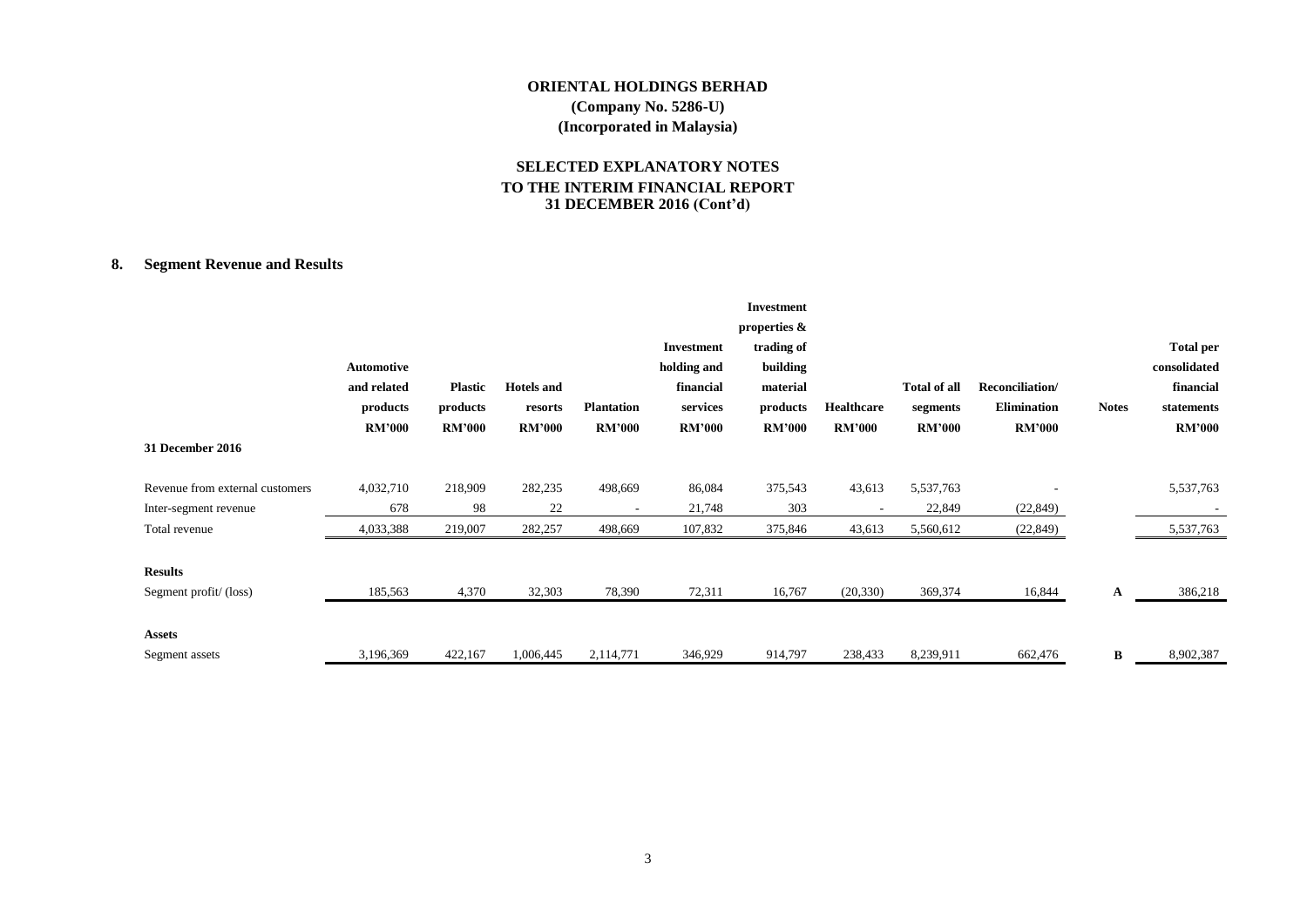# **SELECTED EXPLANATORY NOTES TO THE INTERIM FINANCIAL REPORT 31 DECEMBER 2016 (Cont'd)**

# **8. Segment Revenue and Results**

|                                 |                   |                |                   |                          |               | <b>Investment</b> |                          |                     |                    |              |                  |
|---------------------------------|-------------------|----------------|-------------------|--------------------------|---------------|-------------------|--------------------------|---------------------|--------------------|--------------|------------------|
|                                 |                   |                |                   |                          |               | properties &      |                          |                     |                    |              |                  |
|                                 |                   |                |                   |                          | Investment    | trading of        |                          |                     |                    |              | <b>Total per</b> |
|                                 | <b>Automotive</b> |                |                   |                          | holding and   | building          |                          |                     |                    |              | consolidated     |
|                                 | and related       | <b>Plastic</b> | <b>Hotels</b> and |                          | financial     | material          |                          | <b>Total of all</b> | Reconciliation/    |              | financial        |
|                                 | products          | products       | resorts           | <b>Plantation</b>        | services      | products          | <b>Healthcare</b>        | segments            | <b>Elimination</b> | <b>Notes</b> | statements       |
|                                 | <b>RM'000</b>     | <b>RM'000</b>  | <b>RM'000</b>     | <b>RM'000</b>            | <b>RM'000</b> | <b>RM'000</b>     | <b>RM'000</b>            | <b>RM'000</b>       | <b>RM'000</b>      |              | <b>RM'000</b>    |
| 31 December 2016                |                   |                |                   |                          |               |                   |                          |                     |                    |              |                  |
| Revenue from external customers | 4,032,710         | 218,909        | 282,235           | 498,669                  | 86,084        | 375,543           | 43,613                   | 5,537,763           |                    |              | 5,537,763        |
| Inter-segment revenue           | 678               | 98             | 22                | $\overline{\phantom{a}}$ | 21,748        | 303               | $\overline{\phantom{a}}$ | 22,849              | (22, 849)          |              |                  |
| Total revenue                   | 4,033,388         | 219,007        | 282,257           | 498,669                  | 107,832       | 375,846           | 43,613                   | 5,560,612           | (22, 849)          |              | 5,537,763        |
|                                 |                   |                |                   |                          |               |                   |                          |                     |                    |              |                  |
| <b>Results</b>                  |                   |                |                   |                          |               |                   |                          |                     |                    |              |                  |
| Segment profit/(loss)           | 185,563           | 4,370          | 32,303            | 78,390                   | 72,311        | 16,767            | (20, 330)                | 369,374             | 16,844             | A            | 386,218          |
|                                 |                   |                |                   |                          |               |                   |                          |                     |                    |              |                  |
| <b>Assets</b>                   |                   |                |                   |                          |               |                   |                          |                     |                    |              |                  |
| Segment assets                  | 3,196,369         | 422,167        | 1,006,445         | 2,114,771                | 346,929       | 914,797           | 238,433                  | 8,239,911           | 662,476            | B            | 8,902,387        |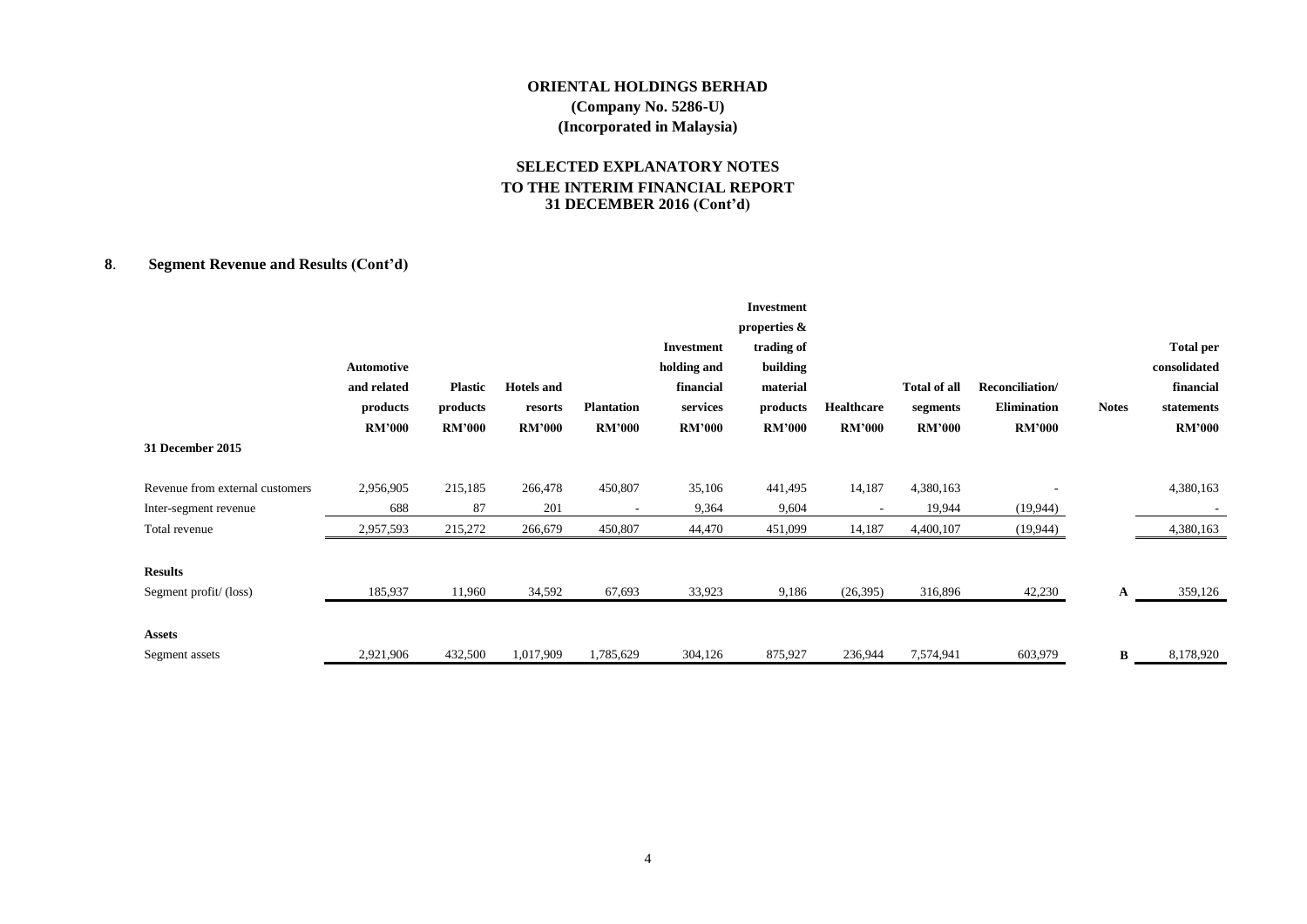# **SELECTED EXPLANATORY NOTES TO THE INTERIM FINANCIAL REPORT 31 DECEMBER 2016 (Cont'd)**

# **8**. **Segment Revenue and Results (Cont'd)**

|                                 |               |                |                   |                   |               | Investment    |               |                     |                    |              |                  |
|---------------------------------|---------------|----------------|-------------------|-------------------|---------------|---------------|---------------|---------------------|--------------------|--------------|------------------|
|                                 |               |                |                   |                   |               | properties &  |               |                     |                    |              |                  |
|                                 |               |                |                   |                   | Investment    | trading of    |               |                     |                    |              | <b>Total per</b> |
|                                 | Automotive    |                |                   |                   | holding and   | building      |               |                     |                    |              | consolidated     |
|                                 | and related   | <b>Plastic</b> | <b>Hotels</b> and |                   | financial     | material      |               | <b>Total of all</b> | Reconciliation/    |              | financial        |
|                                 | products      | products       | resorts           | <b>Plantation</b> | services      | products      | Healthcare    | segments            | <b>Elimination</b> | <b>Notes</b> | statements       |
|                                 | <b>RM'000</b> | <b>RM'000</b>  | <b>RM'000</b>     | <b>RM'000</b>     | <b>RM'000</b> | <b>RM'000</b> | <b>RM'000</b> | <b>RM'000</b>       | <b>RM'000</b>      |              | <b>RM'000</b>    |
| 31 December 2015                |               |                |                   |                   |               |               |               |                     |                    |              |                  |
| Revenue from external customers | 2,956,905     | 215,185        | 266,478           | 450,807           | 35,106        | 441,495       | 14,187        | 4,380,163           |                    |              | 4,380,163        |
| Inter-segment revenue           | 688           | 87             | 201               |                   | 9,364         | 9,604         |               | 19,944              | (19, 944)          |              |                  |
| Total revenue                   | 2,957,593     | 215,272        | 266,679           | 450,807           | 44,470        | 451,099       | 14,187        | 4,400,107           | (19, 944)          |              | 4,380,163        |
| <b>Results</b>                  |               |                |                   |                   |               |               |               |                     |                    |              |                  |
| Segment profit/(loss)           | 185,937       | 11,960         | 34,592            | 67,693            | 33,923        | 9,186         | (26,395)      | 316,896             | 42,230             | A            | 359,126          |
| <b>Assets</b>                   |               |                |                   |                   |               |               |               |                     |                    |              |                  |
| Segment assets                  | 2,921,906     | 432,500        | 1,017,909         | 1,785,629         | 304,126       | 875,927       | 236,944       | 7,574,941           | 603,979            | B            | 8,178,920        |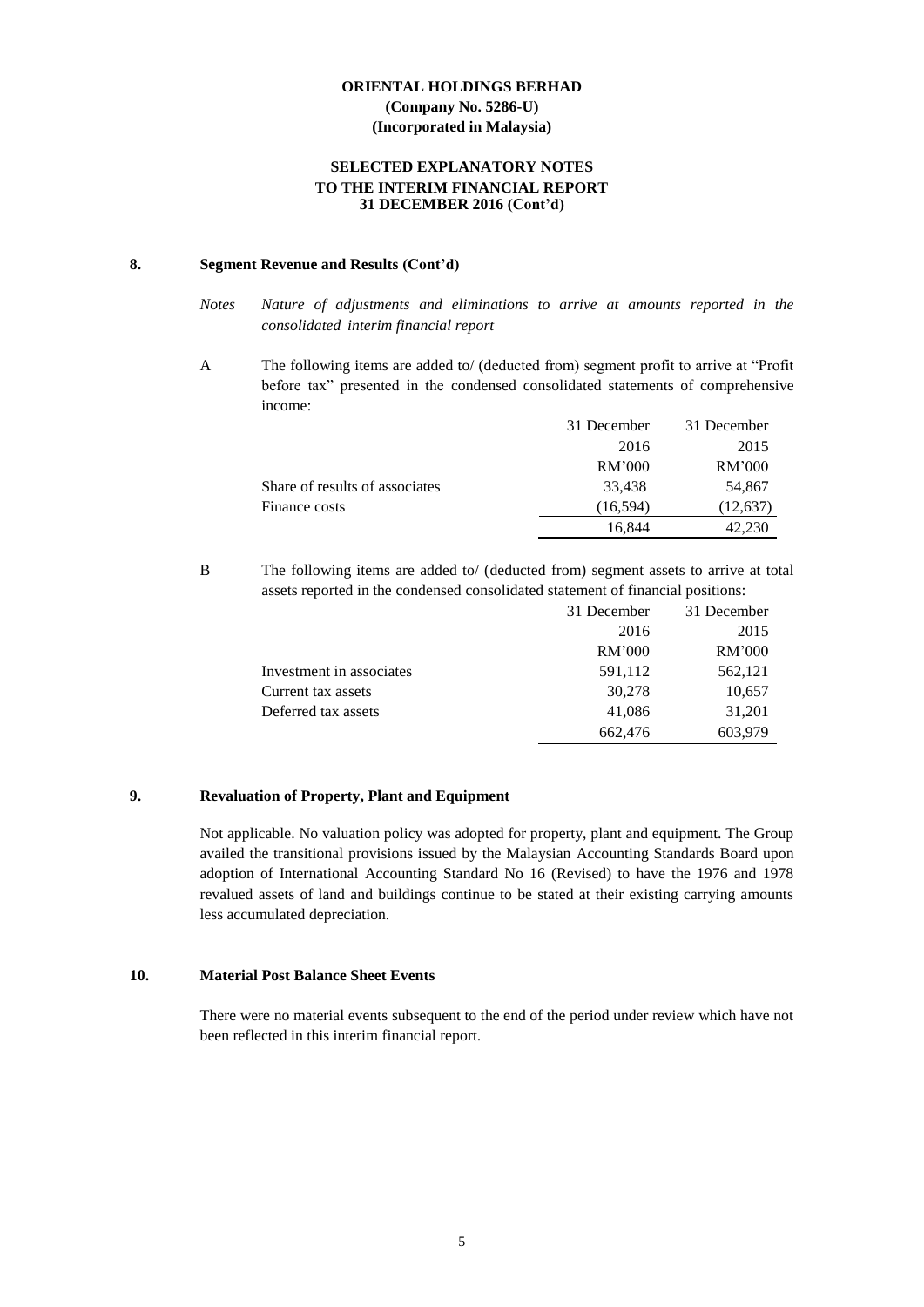## **SELECTED EXPLANATORY NOTES TO THE INTERIM FINANCIAL REPORT 31 DECEMBER 2016 (Cont'd)**

# **8. Segment Revenue and Results (Cont'd)**

A The following items are added to/ (deducted from) segment profit to arrive at "Profit before tax" presented in the condensed consolidated statements of comprehensive income:

|                                | 31 December | 31 December |
|--------------------------------|-------------|-------------|
|                                | 2016        | 2015        |
|                                | RM'000      | RM'000      |
| Share of results of associates | 33,438      | 54,867      |
| Finance costs                  | (16.594)    | (12, 637)   |
|                                | 16.844      | 42,230      |

B The following items are added to/ (deducted from) segment assets to arrive at total assets reported in the condensed consolidated statement of financial positions:

|                          | 31 December | 31 December |
|--------------------------|-------------|-------------|
|                          | 2016        | 2015        |
|                          | RM'000      | RM'000      |
| Investment in associates | 591,112     | 562,121     |
| Current tax assets       | 30.278      | 10,657      |
| Deferred tax assets      | 41,086      | 31,201      |
|                          | 662,476     | 603,979     |

# **9. Revaluation of Property, Plant and Equipment**

Not applicable. No valuation policy was adopted for property, plant and equipment. The Group availed the transitional provisions issued by the Malaysian Accounting Standards Board upon adoption of International Accounting Standard No 16 (Revised) to have the 1976 and 1978 revalued assets of land and buildings continue to be stated at their existing carrying amounts less accumulated depreciation.

#### **10. Material Post Balance Sheet Events**

There were no material events subsequent to the end of the period under review which have not been reflected in this interim financial report.

*Notes Nature of adjustments and eliminations to arrive at amounts reported in the consolidated interim financial report*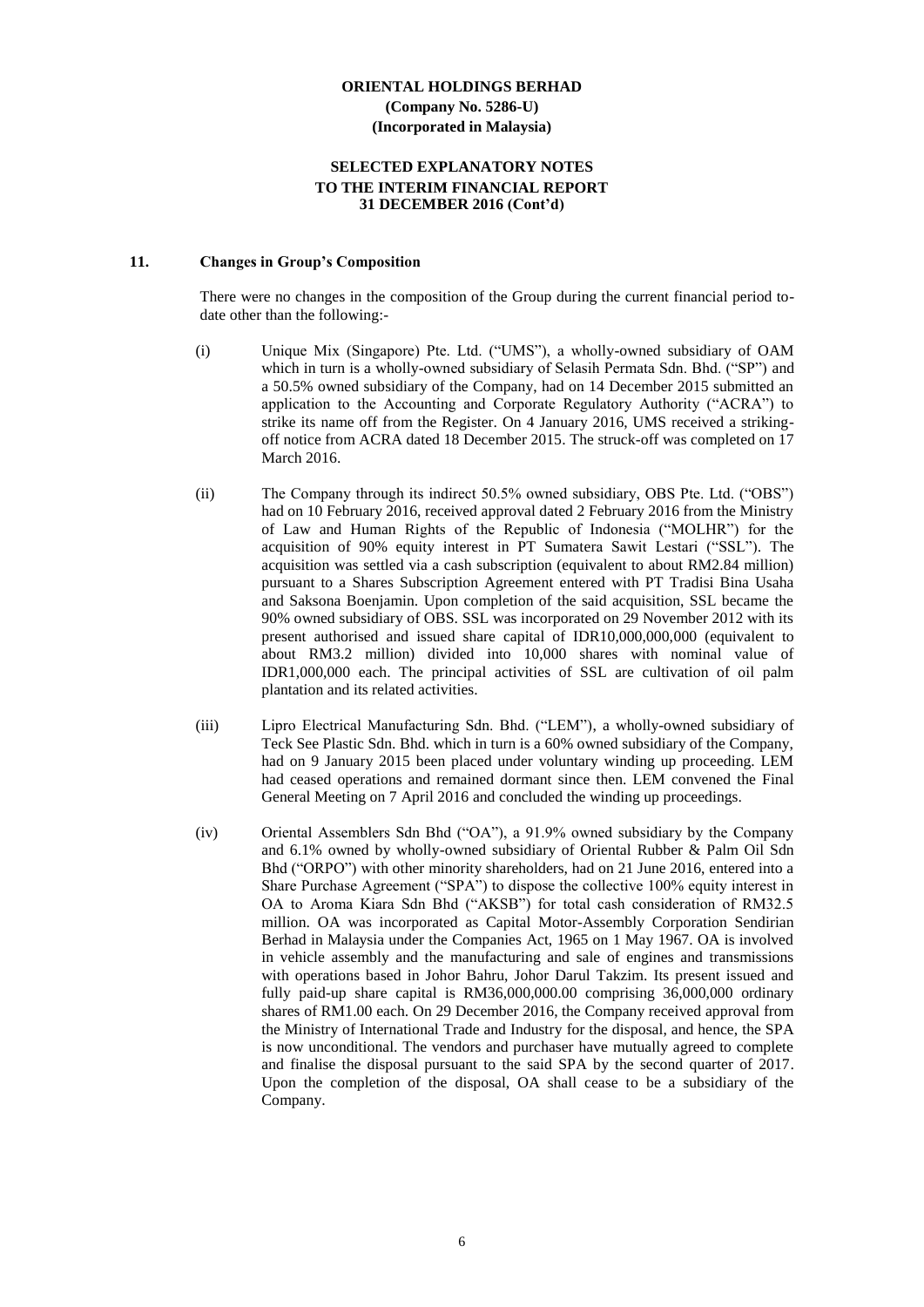### **SELECTED EXPLANATORY NOTES TO THE INTERIM FINANCIAL REPORT 31 DECEMBER 2016 (Cont'd)**

# **11. Changes in Group's Composition**

There were no changes in the composition of the Group during the current financial period todate other than the following:-

- (i) Unique Mix (Singapore) Pte. Ltd. ("UMS"), a wholly-owned subsidiary of OAM which in turn is a wholly-owned subsidiary of Selasih Permata Sdn. Bhd. ("SP") and a 50.5% owned subsidiary of the Company, had on 14 December 2015 submitted an application to the Accounting and Corporate Regulatory Authority ("ACRA") to strike its name off from the Register. On 4 January 2016, UMS received a strikingoff notice from ACRA dated 18 December 2015. The struck-off was completed on 17 March 2016.
- (ii) The Company through its indirect 50.5% owned subsidiary, OBS Pte. Ltd. ("OBS") had on 10 February 2016, received approval dated 2 February 2016 from the Ministry of Law and Human Rights of the Republic of Indonesia ("MOLHR") for the acquisition of 90% equity interest in PT Sumatera Sawit Lestari ("SSL"). The acquisition was settled via a cash subscription (equivalent to about RM2.84 million) pursuant to a Shares Subscription Agreement entered with PT Tradisi Bina Usaha and Saksona Boenjamin. Upon completion of the said acquisition, SSL became the 90% owned subsidiary of OBS. SSL was incorporated on 29 November 2012 with its present authorised and issued share capital of IDR10,000,000,000 (equivalent to about RM3.2 million) divided into 10,000 shares with nominal value of IDR1,000,000 each. The principal activities of SSL are cultivation of oil palm plantation and its related activities.
- (iii) Lipro Electrical Manufacturing Sdn. Bhd. ("LEM"), a wholly-owned subsidiary of Teck See Plastic Sdn. Bhd. which in turn is a 60% owned subsidiary of the Company, had on 9 January 2015 been placed under voluntary winding up proceeding. LEM had ceased operations and remained dormant since then. LEM convened the Final General Meeting on 7 April 2016 and concluded the winding up proceedings.
- (iv) Oriental Assemblers Sdn Bhd ("OA"), a 91.9% owned subsidiary by the Company and 6.1% owned by wholly-owned subsidiary of Oriental Rubber & Palm Oil Sdn Bhd ("ORPO") with other minority shareholders, had on 21 June 2016, entered into a Share Purchase Agreement ("SPA") to dispose the collective 100% equity interest in OA to Aroma Kiara Sdn Bhd ("AKSB") for total cash consideration of RM32.5 million. OA was incorporated as Capital Motor-Assembly Corporation Sendirian Berhad in Malaysia under the Companies Act, 1965 on 1 May 1967. OA is involved in vehicle assembly and the manufacturing and sale of engines and transmissions with operations based in Johor Bahru, Johor Darul Takzim. Its present issued and fully paid-up share capital is RM36,000,000.00 comprising 36,000,000 ordinary shares of RM1.00 each. On 29 December 2016, the Company received approval from the Ministry of International Trade and Industry for the disposal, and hence, the SPA is now unconditional. The vendors and purchaser have mutually agreed to complete and finalise the disposal pursuant to the said SPA by the second quarter of 2017. Upon the completion of the disposal, OA shall cease to be a subsidiary of the Company.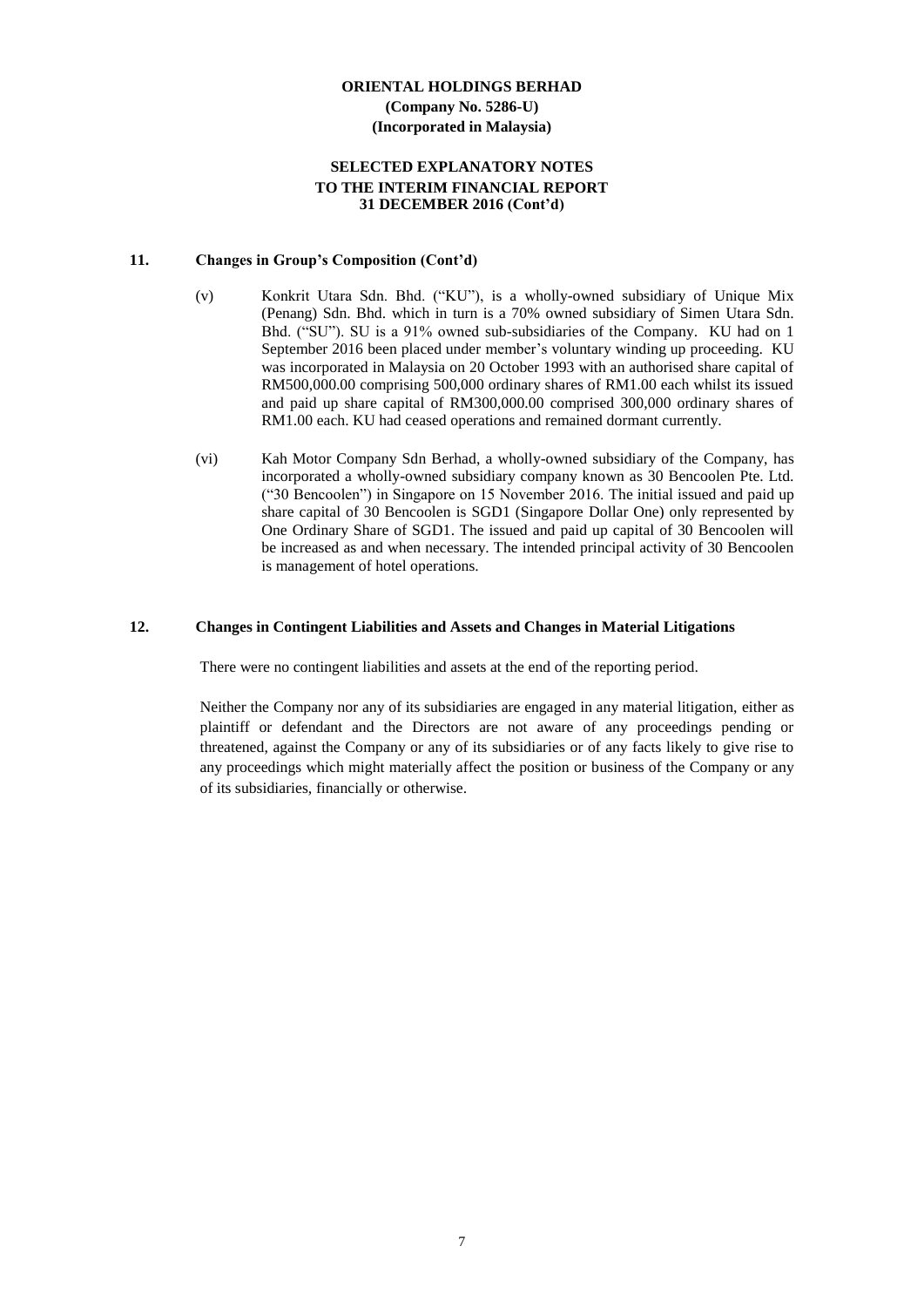### **SELECTED EXPLANATORY NOTES TO THE INTERIM FINANCIAL REPORT 31 DECEMBER 2016 (Cont'd)**

#### **11. Changes in Group's Composition (Cont'd)**

- (v) Konkrit Utara Sdn. Bhd. ("KU"), is a wholly-owned subsidiary of Unique Mix (Penang) Sdn. Bhd. which in turn is a 70% owned subsidiary of Simen Utara Sdn. Bhd. ("SU"). SU is a 91% owned sub-subsidiaries of the Company. KU had on 1 September 2016 been placed under member's voluntary winding up proceeding. KU was incorporated in Malaysia on 20 October 1993 with an authorised share capital of RM500,000.00 comprising 500,000 ordinary shares of RM1.00 each whilst its issued and paid up share capital of RM300,000.00 comprised 300,000 ordinary shares of RM1.00 each. KU had ceased operations and remained dormant currently.
- (vi) Kah Motor Company Sdn Berhad, a wholly-owned subsidiary of the Company, has incorporated a wholly-owned subsidiary company known as 30 Bencoolen Pte. Ltd. ("30 Bencoolen") in Singapore on 15 November 2016. The initial issued and paid up share capital of 30 Bencoolen is SGD1 (Singapore Dollar One) only represented by One Ordinary Share of SGD1. The issued and paid up capital of 30 Bencoolen will be increased as and when necessary. The intended principal activity of 30 Bencoolen is management of hotel operations.

#### **12. Changes in Contingent Liabilities and Assets and Changes in Material Litigations**

There were no contingent liabilities and assets at the end of the reporting period.

Neither the Company nor any of its subsidiaries are engaged in any material litigation, either as plaintiff or defendant and the Directors are not aware of any proceedings pending or threatened, against the Company or any of its subsidiaries or of any facts likely to give rise to any proceedings which might materially affect the position or business of the Company or any of its subsidiaries, financially or otherwise.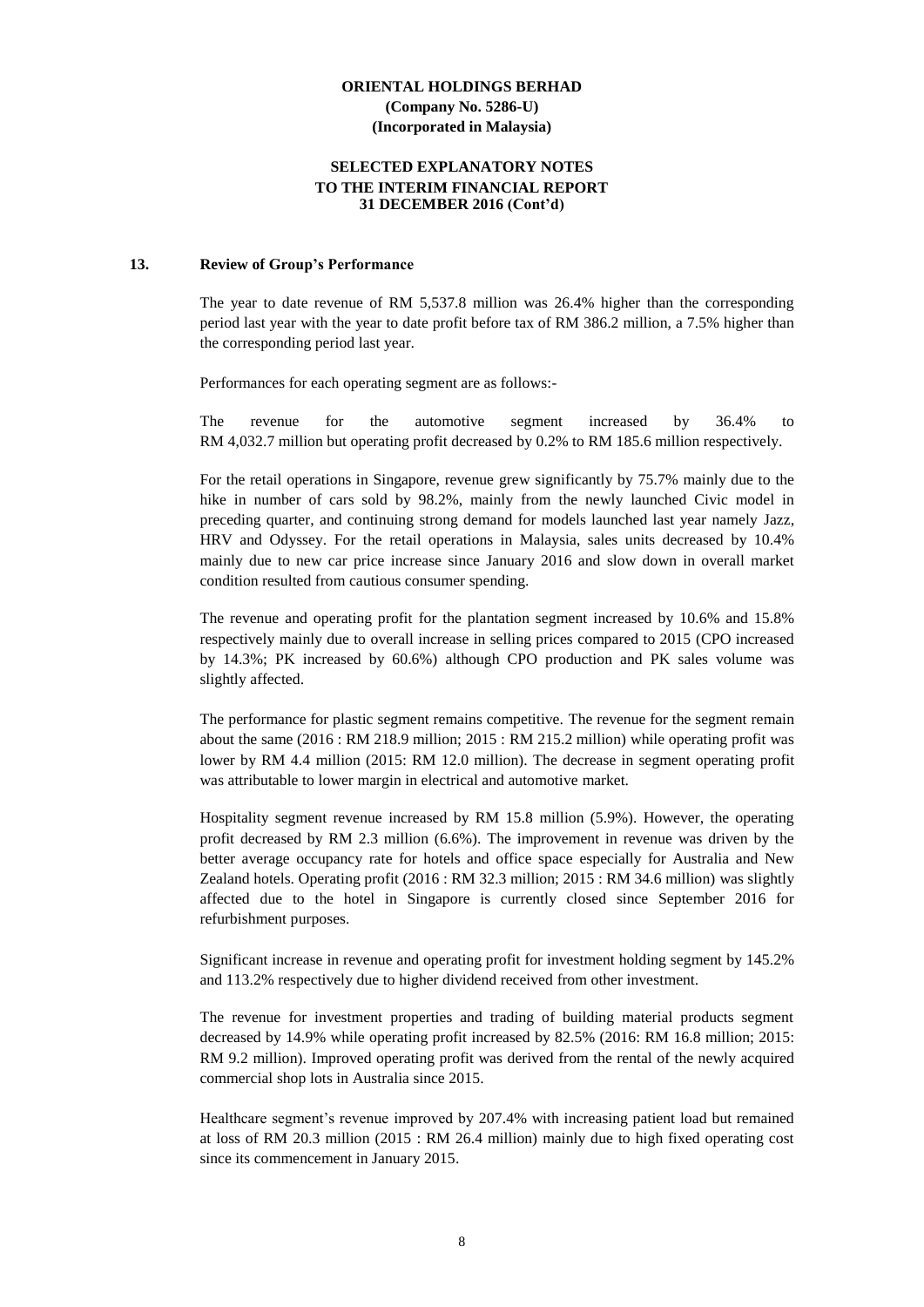### **SELECTED EXPLANATORY NOTES TO THE INTERIM FINANCIAL REPORT 31 DECEMBER 2016 (Cont'd)**

#### **13. Review of Group's Performance**

The year to date revenue of RM 5,537.8 million was 26.4% higher than the corresponding period last year with the year to date profit before tax of RM 386.2 million, a 7.5% higher than the corresponding period last year.

Performances for each operating segment are as follows:-

The revenue for the automotive segment increased by 36.4% to RM 4,032.7 million but operating profit decreased by 0.2% to RM 185.6 million respectively.

For the retail operations in Singapore, revenue grew significantly by 75.7% mainly due to the hike in number of cars sold by 98.2%, mainly from the newly launched Civic model in preceding quarter, and continuing strong demand for models launched last year namely Jazz, HRV and Odyssey. For the retail operations in Malaysia, sales units decreased by 10.4% mainly due to new car price increase since January 2016 and slow down in overall market condition resulted from cautious consumer spending.

The revenue and operating profit for the plantation segment increased by 10.6% and 15.8% respectively mainly due to overall increase in selling prices compared to 2015 (CPO increased by 14.3%; PK increased by 60.6%) although CPO production and PK sales volume was slightly affected.

The performance for plastic segment remains competitive. The revenue for the segment remain about the same (2016 : RM 218.9 million; 2015 : RM 215.2 million) while operating profit was lower by RM 4.4 million (2015: RM 12.0 million). The decrease in segment operating profit was attributable to lower margin in electrical and automotive market.

Hospitality segment revenue increased by RM 15.8 million (5.9%). However, the operating profit decreased by RM 2.3 million (6.6%). The improvement in revenue was driven by the better average occupancy rate for hotels and office space especially for Australia and New Zealand hotels. Operating profit (2016 : RM 32.3 million; 2015 : RM 34.6 million) was slightly affected due to the hotel in Singapore is currently closed since September 2016 for refurbishment purposes.

Significant increase in revenue and operating profit for investment holding segment by 145.2% and 113.2% respectively due to higher dividend received from other investment.

The revenue for investment properties and trading of building material products segment decreased by 14.9% while operating profit increased by 82.5% (2016: RM 16.8 million; 2015: RM 9.2 million). Improved operating profit was derived from the rental of the newly acquired commercial shop lots in Australia since 2015.

Healthcare segment's revenue improved by 207.4% with increasing patient load but remained at loss of RM 20.3 million (2015 : RM 26.4 million) mainly due to high fixed operating cost since its commencement in January 2015.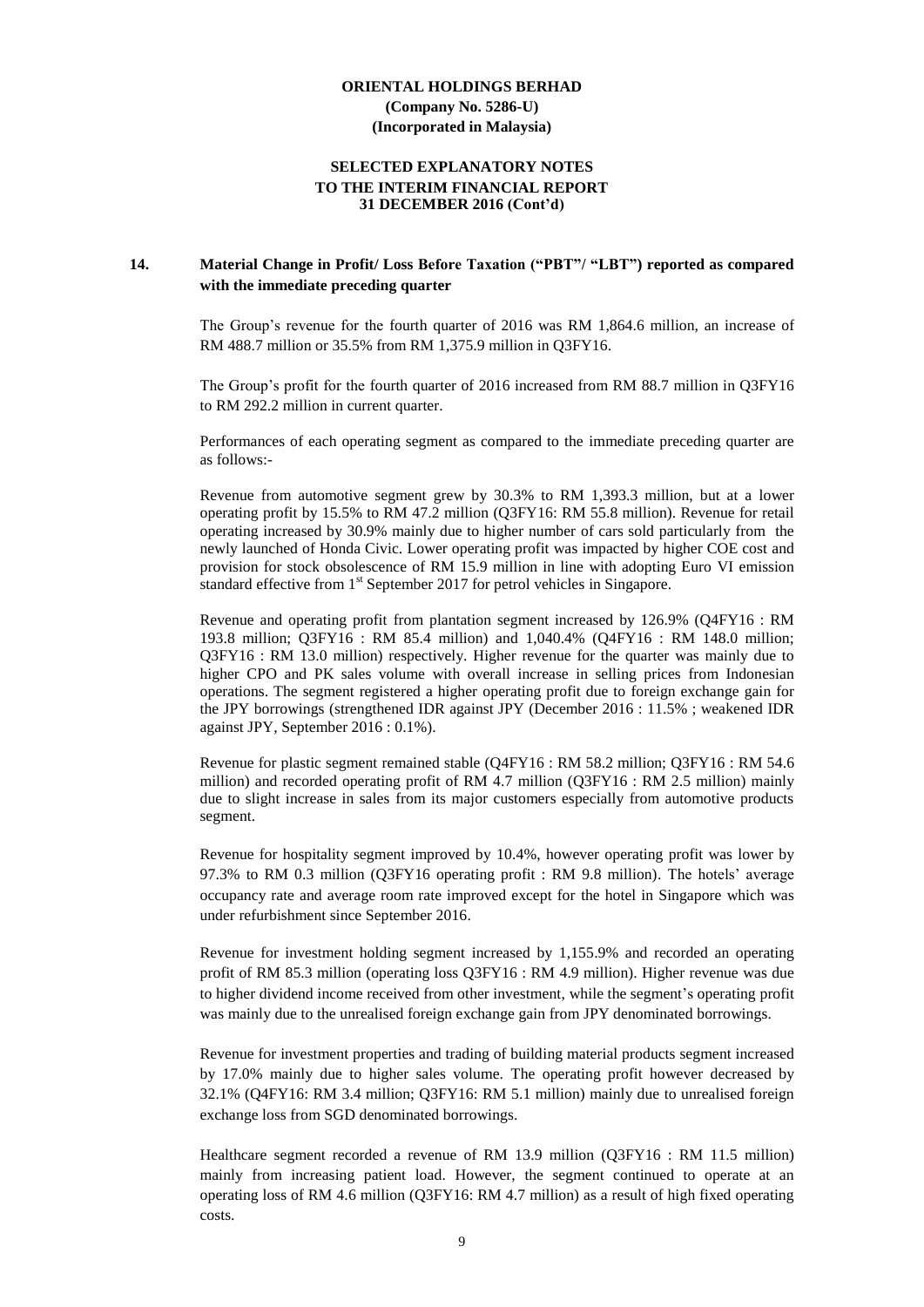## **SELECTED EXPLANATORY NOTES TO THE INTERIM FINANCIAL REPORT 31 DECEMBER 2016 (Cont'd)**

# **14. Material Change in Profit/ Loss Before Taxation ("PBT"/ "LBT") reported as compared with the immediate preceding quarter**

The Group's revenue for the fourth quarter of 2016 was RM 1,864.6 million, an increase of RM 488.7 million or 35.5% from RM 1,375.9 million in Q3FY16.

The Group's profit for the fourth quarter of 2016 increased from RM 88.7 million in Q3FY16 to RM 292.2 million in current quarter.

Performances of each operating segment as compared to the immediate preceding quarter are as follows:-

Revenue from automotive segment grew by 30.3% to RM 1,393.3 million, but at a lower operating profit by 15.5% to RM 47.2 million (Q3FY16: RM 55.8 million). Revenue for retail operating increased by 30.9% mainly due to higher number of cars sold particularly from the newly launched of Honda Civic. Lower operating profit was impacted by higher COE cost and provision for stock obsolescence of RM 15.9 million in line with adopting Euro VI emission standard effective from 1<sup>st</sup> September 2017 for petrol vehicles in Singapore.

Revenue and operating profit from plantation segment increased by 126.9% (Q4FY16 : RM 193.8 million; Q3FY16 : RM 85.4 million) and 1,040.4% (Q4FY16 : RM 148.0 million; Q3FY16 : RM 13.0 million) respectively. Higher revenue for the quarter was mainly due to higher CPO and PK sales volume with overall increase in selling prices from Indonesian operations. The segment registered a higher operating profit due to foreign exchange gain for the JPY borrowings (strengthened IDR against JPY (December 2016 : 11.5% ; weakened IDR against JPY, September 2016 : 0.1%).

Revenue for plastic segment remained stable (Q4FY16 : RM 58.2 million; Q3FY16 : RM 54.6 million) and recorded operating profit of RM 4.7 million (Q3FY16 : RM 2.5 million) mainly due to slight increase in sales from its major customers especially from automotive products segment.

Revenue for hospitality segment improved by 10.4%, however operating profit was lower by 97.3% to RM 0.3 million (Q3FY16 operating profit : RM 9.8 million). The hotels' average occupancy rate and average room rate improved except for the hotel in Singapore which was under refurbishment since September 2016.

Revenue for investment holding segment increased by 1,155.9% and recorded an operating profit of RM 85.3 million (operating loss Q3FY16 : RM 4.9 million). Higher revenue was due to higher dividend income received from other investment, while the segment's operating profit was mainly due to the unrealised foreign exchange gain from JPY denominated borrowings.

Revenue for investment properties and trading of building material products segment increased by 17.0% mainly due to higher sales volume. The operating profit however decreased by 32.1% (Q4FY16: RM 3.4 million; Q3FY16: RM 5.1 million) mainly due to unrealised foreign exchange loss from SGD denominated borrowings.

Healthcare segment recorded a revenue of RM 13.9 million (Q3FY16 : RM 11.5 million) mainly from increasing patient load. However, the segment continued to operate at an operating loss of RM 4.6 million (Q3FY16: RM 4.7 million) as a result of high fixed operating costs.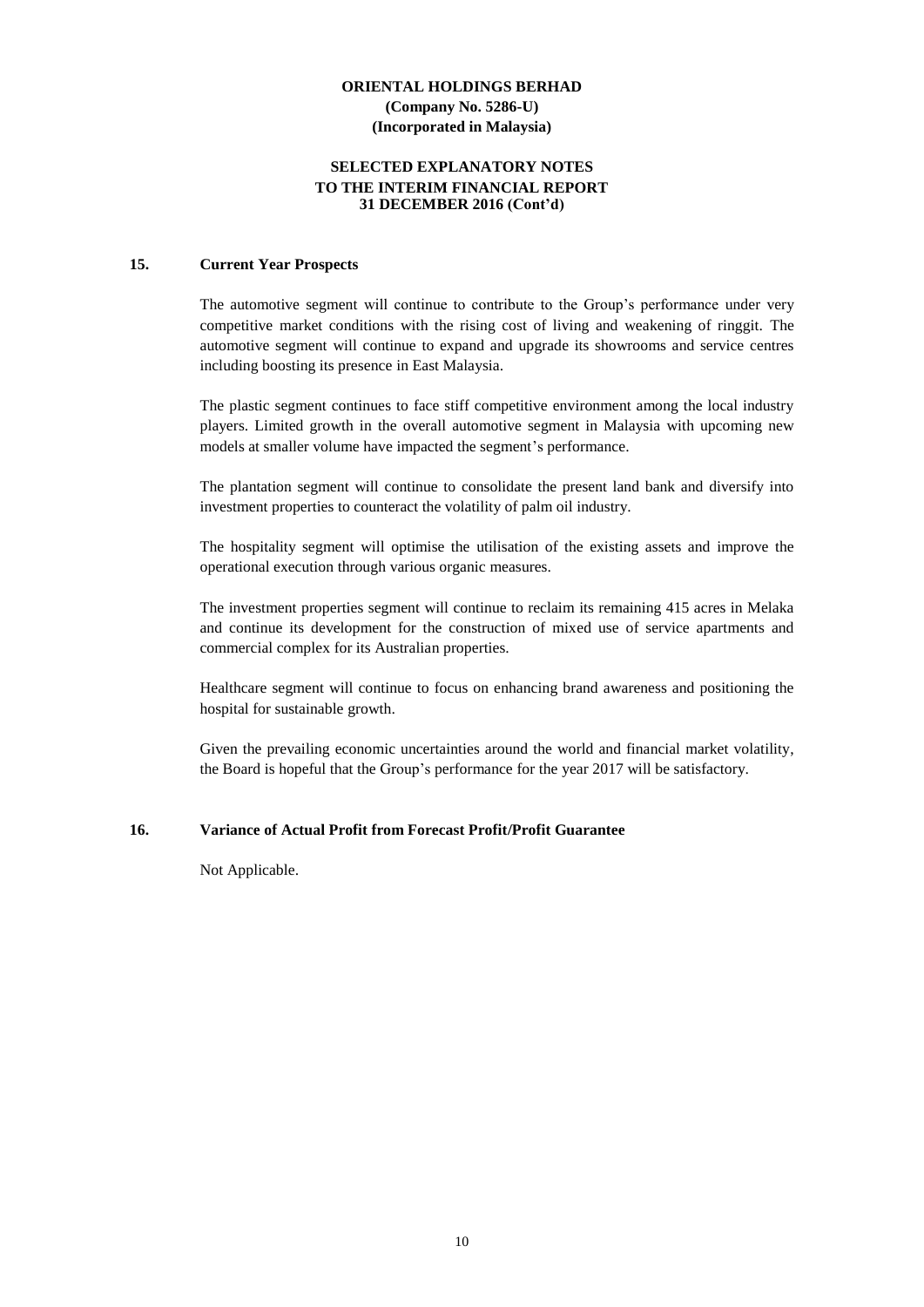### **SELECTED EXPLANATORY NOTES TO THE INTERIM FINANCIAL REPORT 31 DECEMBER 2016 (Cont'd)**

#### **15. Current Year Prospects**

The automotive segment will continue to contribute to the Group's performance under very competitive market conditions with the rising cost of living and weakening of ringgit. The automotive segment will continue to expand and upgrade its showrooms and service centres including boosting its presence in East Malaysia.

The plastic segment continues to face stiff competitive environment among the local industry players. Limited growth in the overall automotive segment in Malaysia with upcoming new models at smaller volume have impacted the segment's performance.

The plantation segment will continue to consolidate the present land bank and diversify into investment properties to counteract the volatility of palm oil industry.

The hospitality segment will optimise the utilisation of the existing assets and improve the operational execution through various organic measures.

The investment properties segment will continue to reclaim its remaining 415 acres in Melaka and continue its development for the construction of mixed use of service apartments and commercial complex for its Australian properties.

Healthcare segment will continue to focus on enhancing brand awareness and positioning the hospital for sustainable growth.

Given the prevailing economic uncertainties around the world and financial market volatility, the Board is hopeful that the Group's performance for the year 2017 will be satisfactory.

#### **16. Variance of Actual Profit from Forecast Profit/Profit Guarantee**

Not Applicable.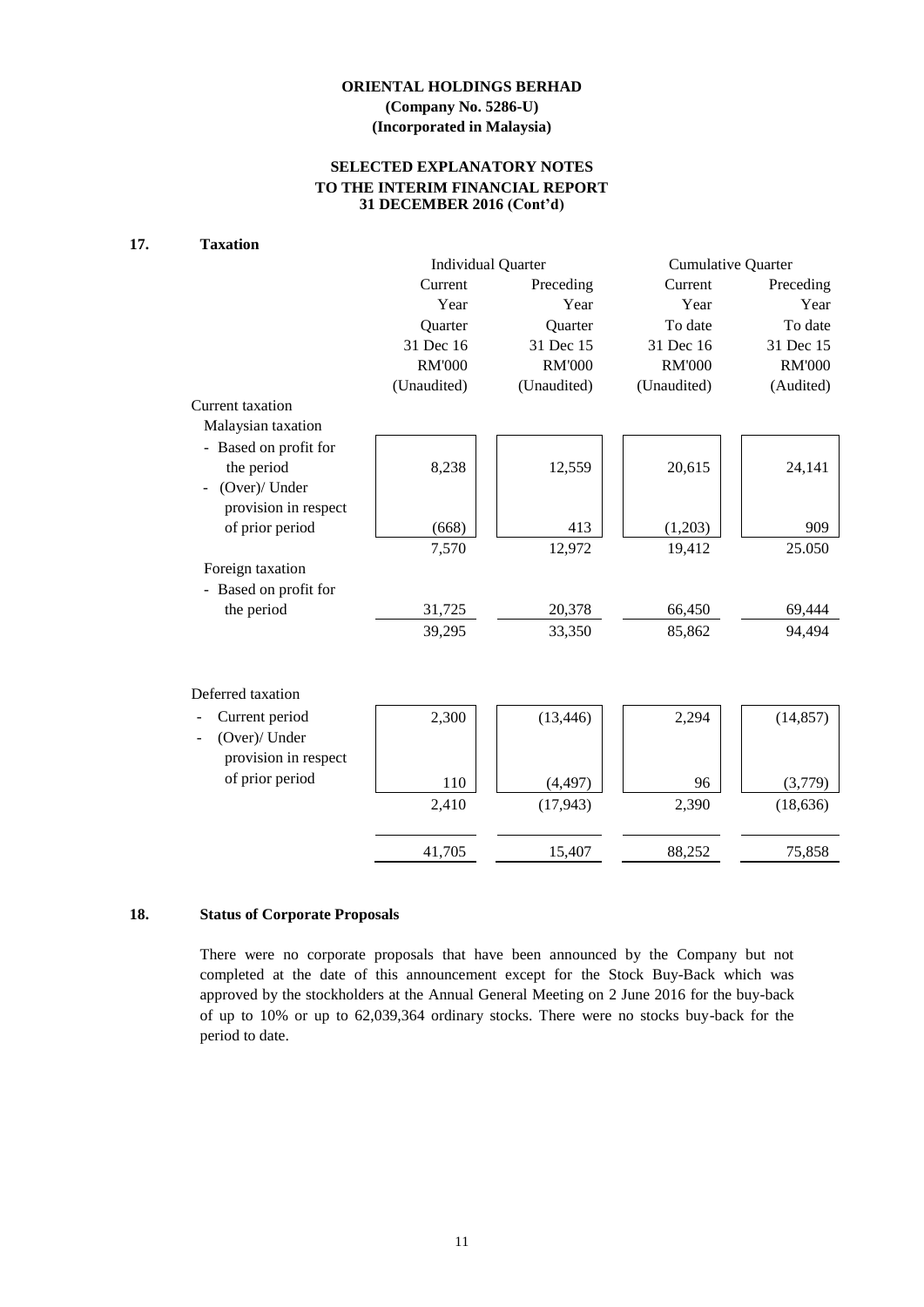# **ORIENTAL HOLDINGS BERHAD (Company No. 5286-U)**

## **(Incorporated in Malaysia)**

# **SELECTED EXPLANATORY NOTES TO THE INTERIM FINANCIAL REPORT 31 DECEMBER 2016 (Cont'd)**

#### **17. Taxation**

|                       | <b>Individual Quarter</b> |               | <b>Cumulative Quarter</b> |               |  |
|-----------------------|---------------------------|---------------|---------------------------|---------------|--|
|                       | Current                   | Preceding     | Current                   | Preceding     |  |
|                       | Year                      | Year          | Year                      | Year          |  |
|                       | Quarter                   | Quarter       | To date                   | To date       |  |
|                       | 31 Dec 16                 | 31 Dec 15     | 31 Dec 16                 | 31 Dec 15     |  |
|                       | <b>RM'000</b>             | <b>RM'000</b> | <b>RM'000</b>             | <b>RM'000</b> |  |
|                       | (Unaudited)               | (Unaudited)   | (Unaudited)               | (Audited)     |  |
| Current taxation      |                           |               |                           |               |  |
| Malaysian taxation    |                           |               |                           |               |  |
| - Based on profit for |                           |               |                           |               |  |
| the period            | 8,238                     | 12,559        | 20,615                    | 24,141        |  |
| (Over)/ Under         |                           |               |                           |               |  |
| provision in respect  |                           |               |                           |               |  |
| of prior period       | (668)                     | 413           | (1,203)                   | 909           |  |
|                       | 7,570                     | 12,972        | 19,412                    | 25.050        |  |
| Foreign taxation      |                           |               |                           |               |  |
| - Based on profit for |                           |               |                           |               |  |
| the period            | 31,725                    | 20,378        | 66,450                    | 69,444        |  |
|                       | 39,295                    | 33,350        | 85,862                    | 94,494        |  |
|                       |                           |               |                           |               |  |
|                       |                           |               |                           |               |  |
| Deferred taxation     |                           |               |                           |               |  |
| Current period        | 2,300                     | (13, 446)     | 2,294                     | (14, 857)     |  |
| (Over)/ Under         |                           |               |                           |               |  |
| provision in respect  |                           |               |                           |               |  |
| of prior period       | 110                       | (4, 497)      | 96                        | (3,779)       |  |
|                       |                           |               |                           |               |  |
|                       | 2,410                     | (17, 943)     | 2,390                     | (18, 636)     |  |
|                       |                           |               |                           |               |  |
|                       | 41,705                    | 15,407        | 88,252                    | 75,858        |  |

# **18. Status of Corporate Proposals**

There were no corporate proposals that have been announced by the Company but not completed at the date of this announcement except for the Stock Buy-Back which was approved by the stockholders at the Annual General Meeting on 2 June 2016 for the buy-back of up to 10% or up to 62,039,364 ordinary stocks. There were no stocks buy-back for the period to date.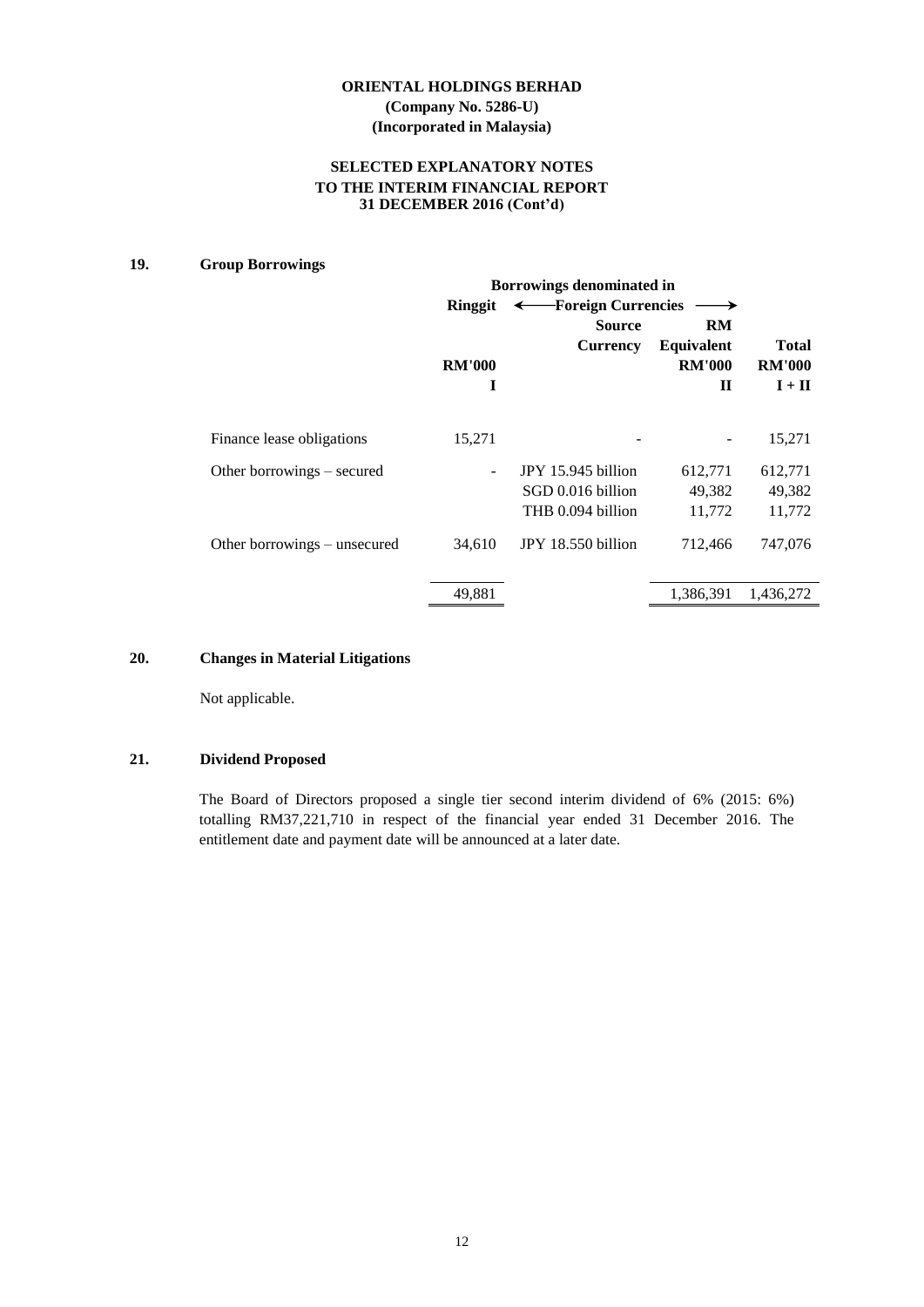# **SELECTED EXPLANATORY NOTES TO THE INTERIM FINANCIAL REPORT 31 DECEMBER 2016 (Cont'd)**

# **19. Group Borrowings**

|                              | Borrowings denominated in |                      |                   |               |  |  |  |
|------------------------------|---------------------------|----------------------|-------------------|---------------|--|--|--|
|                              | <b>Ringgit</b>            | - Foreign Currencies |                   |               |  |  |  |
|                              |                           | <b>Source</b>        | <b>RM</b>         |               |  |  |  |
|                              |                           | <b>Currency</b>      | <b>Equivalent</b> | <b>Total</b>  |  |  |  |
|                              | <b>RM'000</b>             |                      | <b>RM'000</b>     | <b>RM'000</b> |  |  |  |
|                              | I                         |                      | $\mathbf H$       | $I + II$      |  |  |  |
| Finance lease obligations    | 15,271                    |                      |                   | 15,271        |  |  |  |
|                              |                           |                      |                   |               |  |  |  |
| Other borrowings – secured   |                           | JPY 15.945 billion   | 612,771           | 612,771       |  |  |  |
|                              |                           | SGD 0.016 billion    | 49,382            | 49,382        |  |  |  |
|                              |                           | THB 0.094 billion    | 11,772            | 11,772        |  |  |  |
| Other borrowings – unsecured | 34,610                    | JPY 18.550 billion   | 712,466           | 747,076       |  |  |  |
|                              | 49,881                    |                      | 1,386,391         | 1,436,272     |  |  |  |

# **20. Changes in Material Litigations**

Not applicable.

# **21. Dividend Proposed**

The Board of Directors proposed a single tier second interim dividend of 6% (2015: 6%) totalling RM37,221,710 in respect of the financial year ended 31 December 2016. The entitlement date and payment date will be announced at a later date.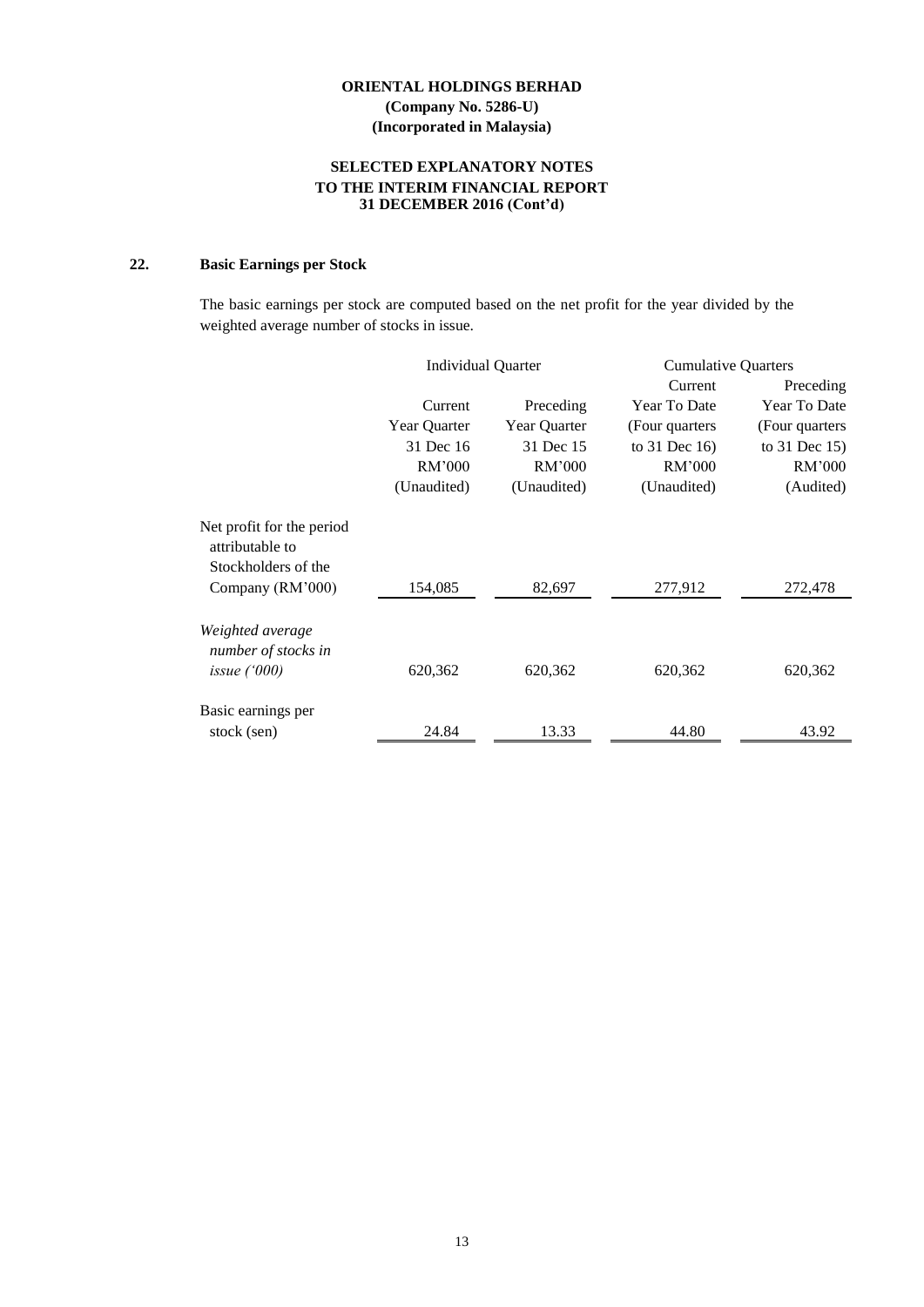# **SELECTED EXPLANATORY NOTES TO THE INTERIM FINANCIAL REPORT 31 DECEMBER 2016 (Cont'd)**

# **22. Basic Earnings per Stock**

The basic earnings per stock are computed based on the net profit for the year divided by the weighted average number of stocks in issue.

|                                              | <b>Individual Quarter</b> |              | <b>Cumulative Quarters</b> |                 |
|----------------------------------------------|---------------------------|--------------|----------------------------|-----------------|
|                                              |                           |              | Current                    | Preceding       |
|                                              | Current                   | Preceding    | Year To Date               | Year To Date    |
|                                              | Year Quarter              | Year Quarter | (Four quarters)            | (Four quarters) |
|                                              | 31 Dec 16                 | 31 Dec 15    | to $31$ Dec 16)            | to 31 Dec 15)   |
|                                              | RM'000                    | RM'000       | RM'000                     | RM'000          |
|                                              | (Unaudited)               | (Unaudited)  | (Unaudited)                | (Audited)       |
| Net profit for the period<br>attributable to |                           |              |                            |                 |
| Stockholders of the                          |                           |              |                            |                 |
| Company (RM'000)                             | 154,085                   | 82,697       | 277,912                    | 272,478         |
| Weighted average<br>number of stocks in      |                           |              |                            |                 |
| issue $(000)$                                | 620,362                   | 620,362      | 620,362                    | 620,362         |
| Basic earnings per                           |                           |              |                            |                 |
| stock (sen)                                  | 24.84                     | 13.33        | 44.80                      | 43.92           |